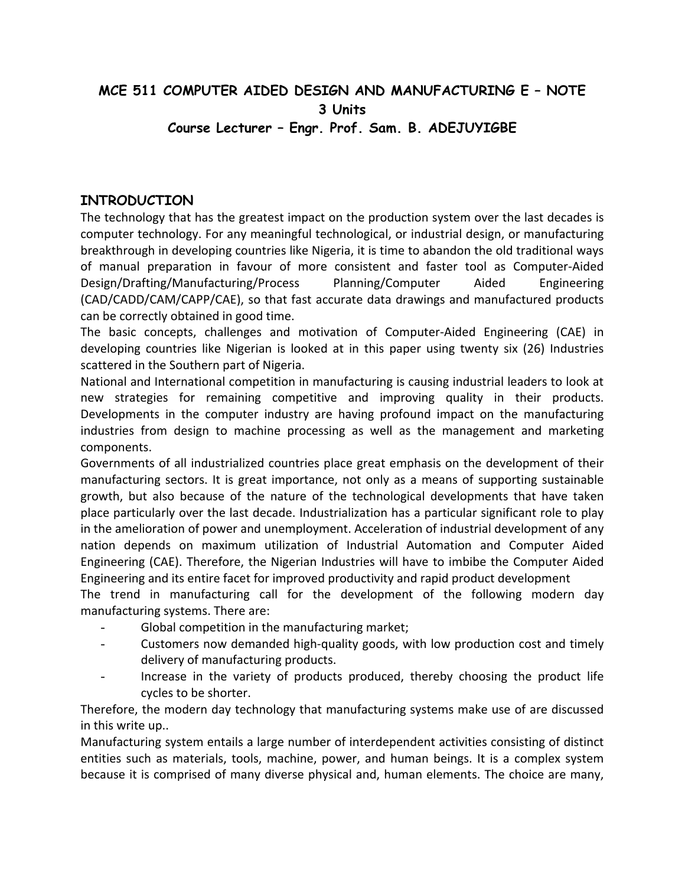# **MCE 511 COMPUTER AIDED DESIGN AND MANUFACTURING E – NOTE 3 Units Course Lecturer – Engr. Prof. Sam. B. ADEJUYIGBE**

# **INTRODUCTION**

The technology that has the greatest impact on the production system over the last decades is computer technology. For any meaningful technological, or industrial design, or manufacturing breakthrough in developing countries like Nigeria, it is time to abandon the old traditional ways of manual preparation in favour of more consistent and faster tool as Computer-Aided Design/Drafting/Manufacturing/Process Planning/Computer Aided Engineering (CAD/CADD/CAM/CAPP/CAE), so that fast accurate data drawings and manufactured products can be correctly obtained in good time.

The basic concepts, challenges and motivation of Computer-Aided Engineering (CAE) in developing countries like Nigerian is looked at in this paper using twenty six (26) Industries scattered in the Southern part of Nigeria.

National and International competition in manufacturing is causing industrial leaders to look at new strategies for remaining competitive and improving quality in their products. Developments in the computer industry are having profound impact on the manufacturing industries from design to machine processing as well as the management and marketing components.

Governments of all industrialized countries place great emphasis on the development of their manufacturing sectors. It is great importance, not only as a means of supporting sustainable growth, but also because of the nature of the technological developments that have taken place particularly over the last decade. Industrialization has a particular significant role to play in the amelioration of power and unemployment. Acceleration of industrial development of any nation depends on maximum utilization of Industrial Automation and Computer Aided Engineering (CAE). Therefore, the Nigerian Industries will have to imbibe the Computer Aided Engineering and its entire facet for improved productivity and rapid product development

The trend in manufacturing call for the development of the following modern day manufacturing systems. There are:

- Global competition in the manufacturing market;
- Customers now demanded high-quality goods, with low production cost and timely delivery of manufacturing products.
- Increase in the variety of products produced, thereby choosing the product life cycles to be shorter.

Therefore, the modern day technology that manufacturing systems make use of are discussed in this write up..

Manufacturing system entails a large number of interdependent activities consisting of distinct entities such as materials, tools, machine, power, and human beings. It is a complex system because it is comprised of many diverse physical and, human elements. The choice are many,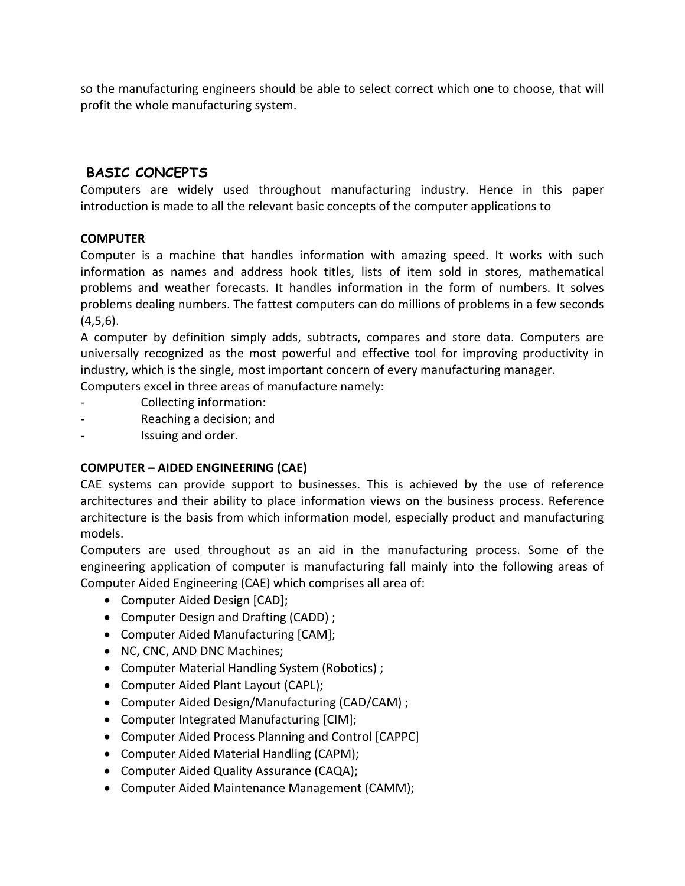so the manufacturing engineers should be able to select correct which one to choose, that will profit the whole manufacturing system.

# **BASIC CONCEPTS**

Computers are widely used throughout manufacturing industry. Hence in this paper introduction is made to all the relevant basic concepts of the computer applications to

# **COMPUTER**

Computer is a machine that handles information with amazing speed. It works with such information as names and address hook titles, lists of item sold in stores, mathematical problems and weather forecasts. It handles information in the form of numbers. It solves problems dealing numbers. The fattest computers can do millions of problems in a few seconds  $(4,5,6)$ .

A computer by definition simply adds, subtracts, compares and store data. Computers are universally recognized as the most powerful and effective tool for improving productivity in industry, which is the single, most important concern of every manufacturing manager.

Computers excel in three areas of manufacture namely:

- Collecting information:
- Reaching a decision; and
- Issuing and order.

# **COMPUTER – AIDED ENGINEERING (CAE)**

CAE systems can provide support to businesses. This is achieved by the use of reference architectures and their ability to place information views on the business process. Reference architecture is the basis from which information model, especially product and manufacturing models.

Computers are used throughout as an aid in the manufacturing process. Some of the engineering application of computer is manufacturing fall mainly into the following areas of Computer Aided Engineering (CAE) which comprises all area of:

- Computer Aided Design [CAD];
- Computer Design and Drafting (CADD) ;
- Computer Aided Manufacturing [CAM];
- NC, CNC, AND DNC Machines;
- Computer Material Handling System (Robotics) ;
- Computer Aided Plant Layout (CAPL);
- Computer Aided Design/Manufacturing (CAD/CAM) ;
- Computer Integrated Manufacturing [CIM];
- Computer Aided Process Planning and Control [CAPPC]
- Computer Aided Material Handling (CAPM);
- Computer Aided Quality Assurance (CAQA);
- Computer Aided Maintenance Management (CAMM);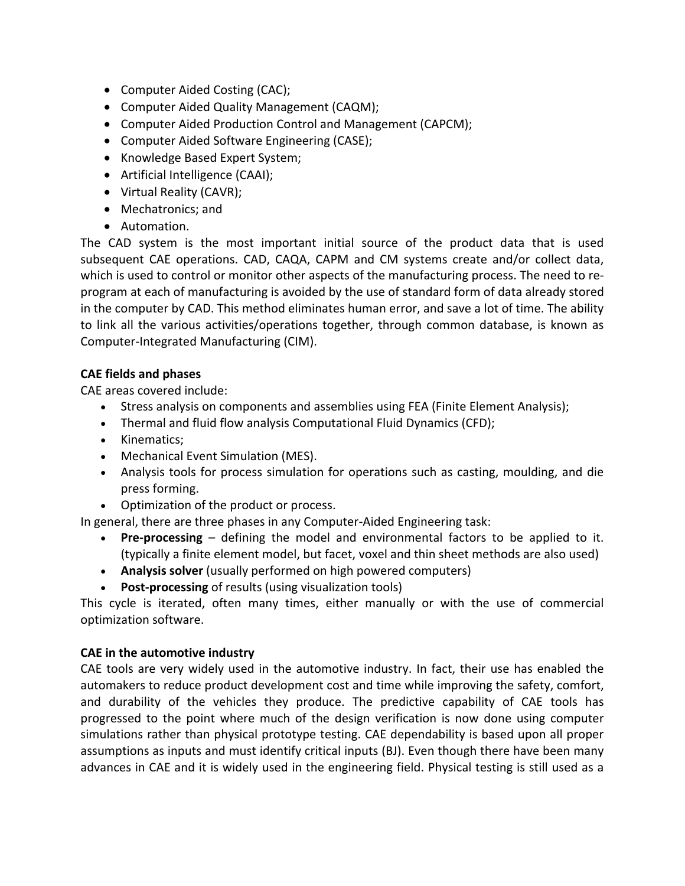- Computer Aided Costing (CAC);
- Computer Aided Quality Management (CAQM);
- Computer Aided Production Control and Management (CAPCM);
- Computer Aided Software Engineering (CASE);
- Knowledge Based Expert System;
- Artificial Intelligence (CAAI);
- Virtual Reality (CAVR);
- Mechatronics; and
- Automation.

The CAD system is the most important initial source of the product data that is used subsequent CAE operations. CAD, CAQA, CAPM and CM systems create and/or collect data, which is used to control or monitor other aspects of the manufacturing process. The need to reprogram at each of manufacturing is avoided by the use of standard form of data already stored in the computer by CAD. This method eliminates human error, and save a lot of time. The ability to link all the various activities/operations together, through common database, is known as Computer-Integrated Manufacturing (CIM).

# **CAE fields and phases**

CAE areas covered include:

- Stress analysis on components and assemblies using FEA (Finite Element Analysis);
- Thermal and fluid flow analysis Computational Fluid Dynamics (CFD);
- Kinematics;
- Mechanical Event Simulation (MES).
- Analysis tools for process simulation for operations such as casting, moulding, and die press forming.
- Optimization of the product or process.

In general, there are three phases in any Computer-Aided Engineering task:

- **Pre-processing** defining the model and environmental factors to be applied to it. (typically a finite element model, but facet, voxel and thin sheet methods are also used)
- **Analysis solver** (usually performed on high powered computers)
- **Post-processing** of results (using visualization tools)

This cycle is iterated, often many times, either manually or with the use of commercial optimization software.

# **CAE in the automotive industry**

CAE tools are very widely used in the automotive industry. In fact, their use has enabled the automakers to reduce product development cost and time while improving the safety, comfort, and durability of the vehicles they produce. The predictive capability of CAE tools has progressed to the point where much of the design verification is now done using computer simulations rather than physical prototype testing. CAE dependability is based upon all proper assumptions as inputs and must identify critical inputs (BJ). Even though there have been many advances in CAE and it is widely used in the engineering field. Physical testing is still used as a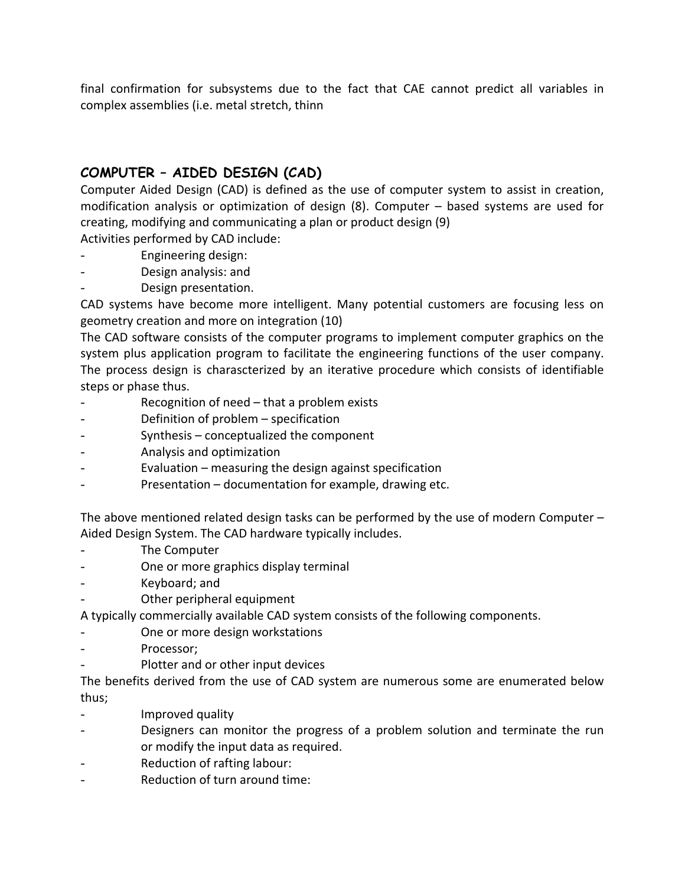final confirmation for subsystems due to the fact that CAE cannot predict all variables in complex assemblies (i.e. metal stretch, thinn

# **COMPUTER – AIDED DESIGN (CAD)**

Computer Aided Design (CAD) is defined as the use of computer system to assist in creation, modification analysis or optimization of design (8). Computer – based systems are used for creating, modifying and communicating a plan or product design (9)

Activities performed by CAD include:

- Engineering design:
- Design analysis: and
- Design presentation.

CAD systems have become more intelligent. Many potential customers are focusing less on geometry creation and more on integration (10)

The CAD software consists of the computer programs to implement computer graphics on the system plus application program to facilitate the engineering functions of the user company. The process design is charascterized by an iterative procedure which consists of identifiable steps or phase thus.

- Recognition of need that a problem exists
- Definition of problem specification
- Synthesis conceptualized the component
- Analysis and optimization
- Evaluation measuring the design against specification
- Presentation documentation for example, drawing etc.

The above mentioned related design tasks can be performed by the use of modern Computer – Aided Design System. The CAD hardware typically includes.

- The Computer
- One or more graphics display terminal
- Keyboard; and
- Other peripheral equipment

A typically commercially available CAD system consists of the following components.

- One or more design workstations
- Processor:
- Plotter and or other input devices

The benefits derived from the use of CAD system are numerous some are enumerated below thus;

- Improved quality
- Designers can monitor the progress of a problem solution and terminate the run or modify the input data as required.
- Reduction of rafting labour:
- Reduction of turn around time: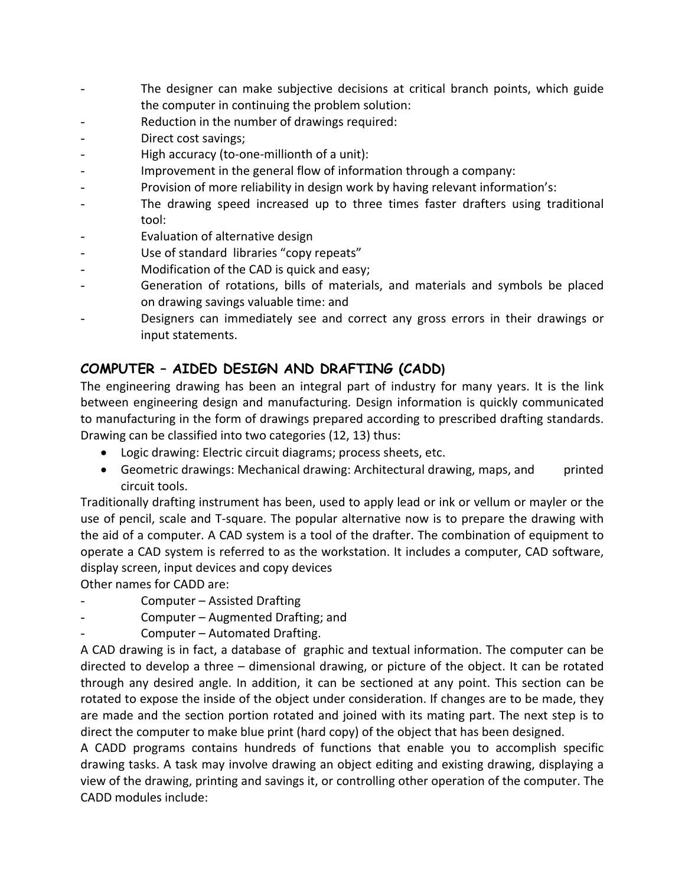- The designer can make subjective decisions at critical branch points, which guide the computer in continuing the problem solution:
- Reduction in the number of drawings required:
- Direct cost savings;
- High accuracy (to-one-millionth of a unit):
- Improvement in the general flow of information through a company:
- Provision of more reliability in design work by having relevant information's:
- The drawing speed increased up to three times faster drafters using traditional tool:
- Evaluation of alternative design
- Use of standard libraries "copy repeats"
- Modification of the CAD is quick and easy;
- Generation of rotations, bills of materials, and materials and symbols be placed on drawing savings valuable time: and
- Designers can immediately see and correct any gross errors in their drawings or input statements.

# **COMPUTER – AIDED DESIGN AND DRAFTING (CADD)**

The engineering drawing has been an integral part of industry for many years. It is the link between engineering design and manufacturing. Design information is quickly communicated to manufacturing in the form of drawings prepared according to prescribed drafting standards. Drawing can be classified into two categories (12, 13) thus:

- Logic drawing: Electric circuit diagrams; process sheets, etc.
- Geometric drawings: Mechanical drawing: Architectural drawing, maps, and printed circuit tools.

Traditionally drafting instrument has been, used to apply lead or ink or vellum or mayler or the use of pencil, scale and T-square. The popular alternative now is to prepare the drawing with the aid of a computer. A CAD system is a tool of the drafter. The combination of equipment to operate a CAD system is referred to as the workstation. It includes a computer, CAD software, display screen, input devices and copy devices

Other names for CADD are:

- Computer Assisted Drafting
- Computer Augmented Drafting; and
- Computer Automated Drafting.

A CAD drawing is in fact, a database of graphic and textual information. The computer can be directed to develop a three – dimensional drawing, or picture of the object. It can be rotated through any desired angle. In addition, it can be sectioned at any point. This section can be rotated to expose the inside of the object under consideration. If changes are to be made, they are made and the section portion rotated and joined with its mating part. The next step is to direct the computer to make blue print (hard copy) of the object that has been designed.

A CADD programs contains hundreds of functions that enable you to accomplish specific drawing tasks. A task may involve drawing an object editing and existing drawing, displaying a view of the drawing, printing and savings it, or controlling other operation of the computer. The CADD modules include: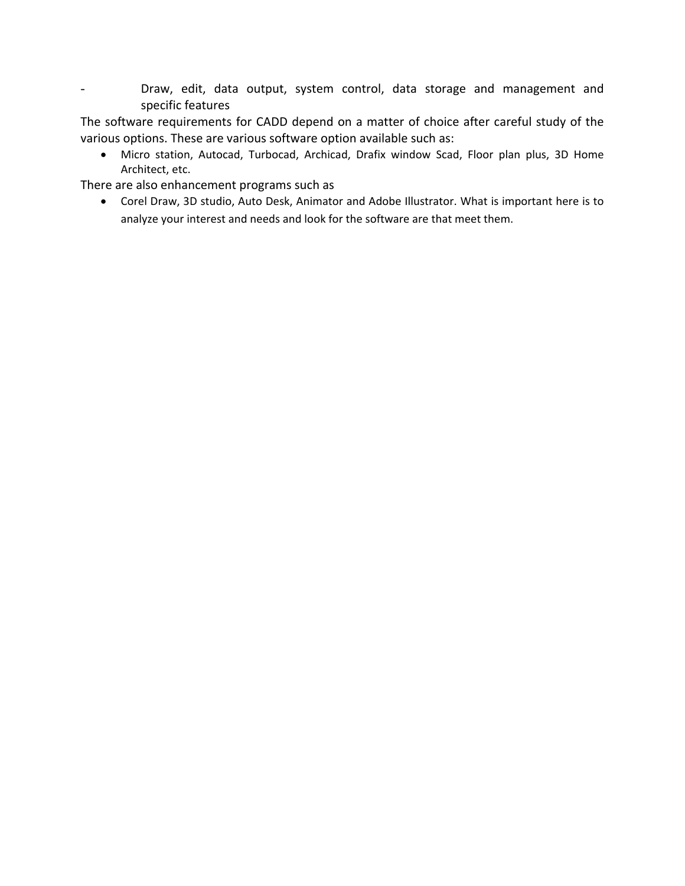- Draw, edit, data output, system control, data storage and management and specific features

The software requirements for CADD depend on a matter of choice after careful study of the various options. These are various software option available such as:

• Micro station, Autocad, Turbocad, Archicad, Drafix window Scad, Floor plan plus, 3D Home Architect, etc.

There are also enhancement programs such as

• Corel Draw, 3D studio, Auto Desk, Animator and Adobe Illustrator. What is important here is to analyze your interest and needs and look for the software are that meet them.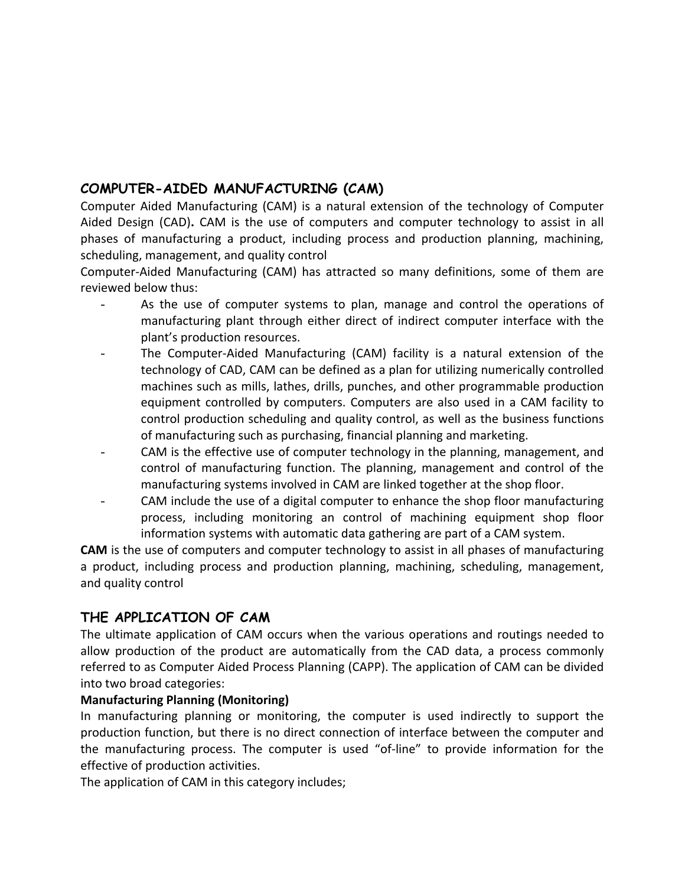# **COMPUTER-AIDED MANUFACTURING (CAM)**

Computer Aided Manufacturing (CAM) is a natural extension of the technology of Computer Aided Design (CAD)**.** CAM is the use of computers and computer technology to assist in all phases of manufacturing a product, including process and production planning, machining, scheduling, management, and quality control

Computer-Aided Manufacturing (CAM) has attracted so many definitions, some of them are reviewed below thus:

- As the use of computer systems to plan, manage and control the operations of manufacturing plant through either direct of indirect computer interface with the plant's production resources.
- The Computer-Aided Manufacturing (CAM) facility is a natural extension of the technology of CAD, CAM can be defined as a plan for utilizing numerically controlled machines such as mills, lathes, drills, punches, and other programmable production equipment controlled by computers. Computers are also used in a CAM facility to control production scheduling and quality control, as well as the business functions of manufacturing such as purchasing, financial planning and marketing.
- CAM is the effective use of computer technology in the planning, management, and control of manufacturing function. The planning, management and control of the manufacturing systems involved in CAM are linked together at the shop floor.
- CAM include the use of a digital computer to enhance the shop floor manufacturing process, including monitoring an control of machining equipment shop floor information systems with automatic data gathering are part of a CAM system.

**CAM** is the use of computers and computer technology to assist in all phases of manufacturing a product, including process and production planning, machining, scheduling, management, and quality control

# **THE APPLICATION OF CAM**

The ultimate application of CAM occurs when the various operations and routings needed to allow production of the product are automatically from the CAD data, a process commonly referred to as Computer Aided Process Planning (CAPP). The application of CAM can be divided into two broad categories:

# **Manufacturing Planning (Monitoring)**

In manufacturing planning or monitoring, the computer is used indirectly to support the production function, but there is no direct connection of interface between the computer and the manufacturing process. The computer is used "of-line" to provide information for the effective of production activities.

The application of CAM in this category includes;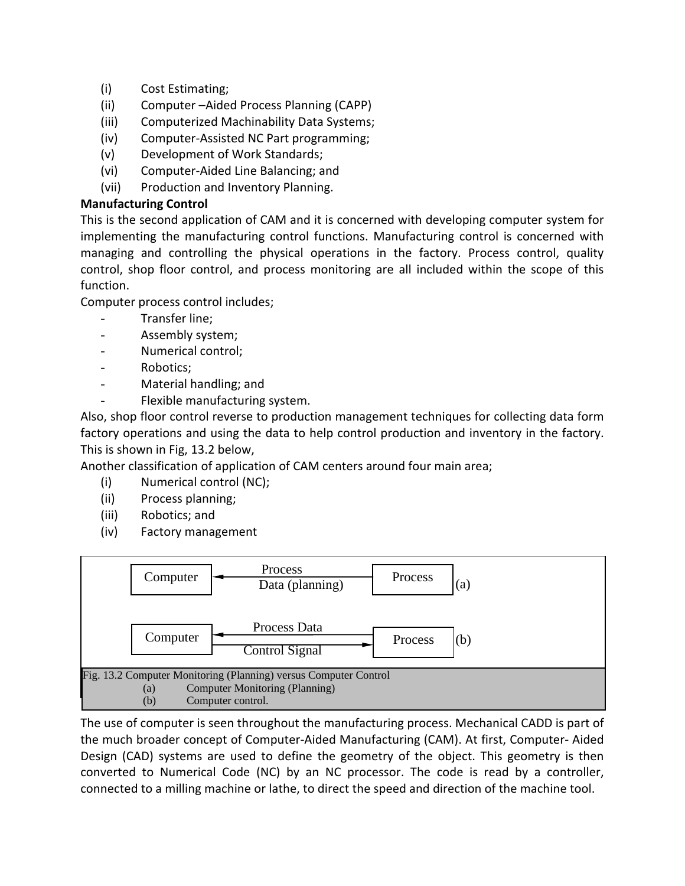- (i) Cost Estimating;
- (ii) Computer –Aided Process Planning (CAPP)
- (iii) Computerized Machinability Data Systems;
- (iv) Computer-Assisted NC Part programming;
- (v) Development of Work Standards;
- (vi) Computer-Aided Line Balancing; and
- (vii) Production and Inventory Planning.

# **Manufacturing Control**

This is the second application of CAM and it is concerned with developing computer system for implementing the manufacturing control functions. Manufacturing control is concerned with managing and controlling the physical operations in the factory. Process control, quality control, shop floor control, and process monitoring are all included within the scope of this function.

Computer process control includes;

- Transfer line;
- Assembly system;
- Numerical control;
- Robotics;
- Material handling; and
- Flexible manufacturing system.

Also, shop floor control reverse to production management techniques for collecting data form factory operations and using the data to help control production and inventory in the factory. This is shown in Fig, 13.2 below,

Another classification of application of CAM centers around four main area;

- (i) Numerical control (NC);
- (ii) Process planning;
- (iii) Robotics; and
- (iv) Factory management



The use of computer is seen throughout the manufacturing process. Mechanical CADD is part of the much broader concept of Computer-Aided Manufacturing (CAM). At first, Computer- Aided Design (CAD) systems are used to define the geometry of the object. This geometry is then converted to Numerical Code (NC) by an NC processor. The code is read by a controller, connected to a milling machine or lathe, to direct the speed and direction of the machine tool.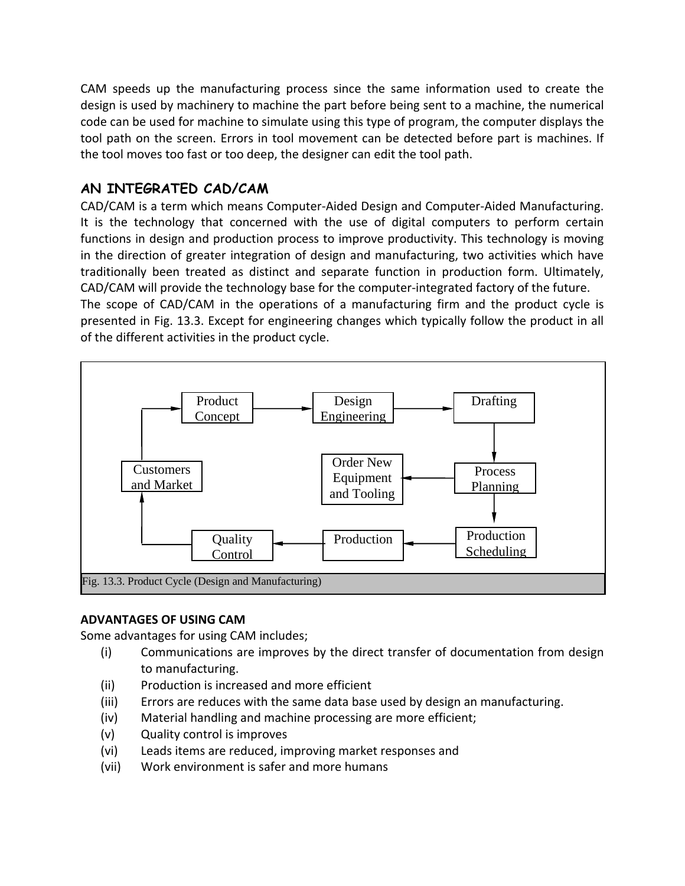CAM speeds up the manufacturing process since the same information used to create the design is used by machinery to machine the part before being sent to a machine, the numerical code can be used for machine to simulate using this type of program, the computer displays the tool path on the screen. Errors in tool movement can be detected before part is machines. If the tool moves too fast or too deep, the designer can edit the tool path.

# **AN INTEGRATED CAD/CAM**

CAD/CAM is a term which means Computer-Aided Design and Computer-Aided Manufacturing. It is the technology that concerned with the use of digital computers to perform certain functions in design and production process to improve productivity. This technology is moving in the direction of greater integration of design and manufacturing, two activities which have traditionally been treated as distinct and separate function in production form. Ultimately, CAD/CAM will provide the technology base for the computer-integrated factory of the future.

The scope of CAD/CAM in the operations of a manufacturing firm and the product cycle is presented in Fig. 13.3. Except for engineering changes which typically follow the product in all of the different activities in the product cycle.



#### **ADVANTAGES OF USING CAM**

Some advantages for using CAM includes;

- (i) Communications are improves by the direct transfer of documentation from design to manufacturing.
- (ii) Production is increased and more efficient
- (iii) Errors are reduces with the same data base used by design an manufacturing.
- (iv) Material handling and machine processing are more efficient;
- (v) Quality control is improves
- (vi) Leads items are reduced, improving market responses and
- (vii) Work environment is safer and more humans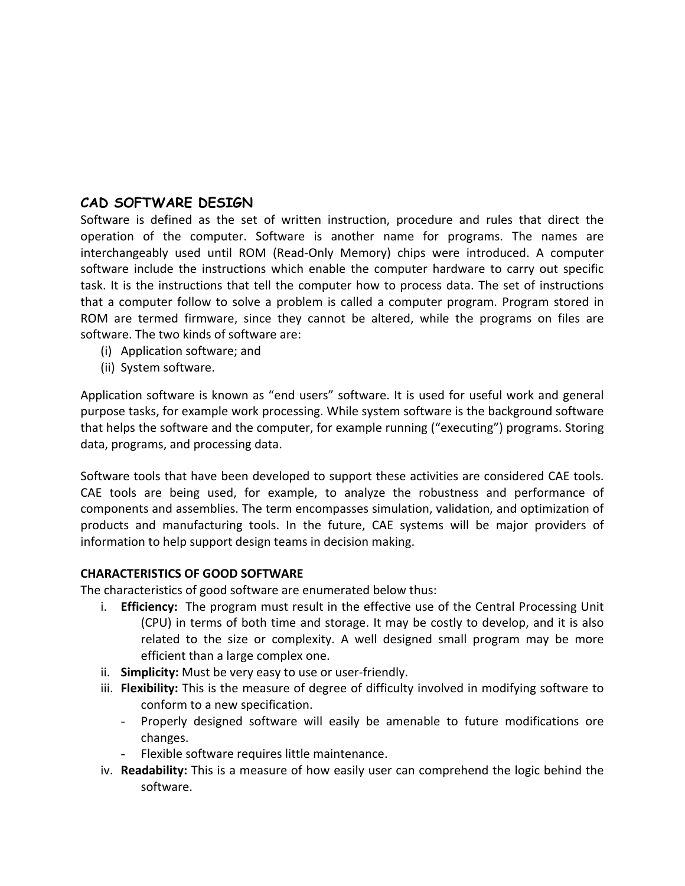# **CAD SOFTWARE DESIGN**

Software is defined as the set of written instruction, procedure and rules that direct the operation of the computer. Software is another name for programs. The names are interchangeably used until ROM (Read-Only Memory) chips were introduced. A computer software include the instructions which enable the computer hardware to carry out specific task. It is the instructions that tell the computer how to process data. The set of instructions that a computer follow to solve a problem is called a computer program. Program stored in ROM are termed firmware, since they cannot be altered, while the programs on files are software. The two kinds of software are:

- (i) Application software; and
- (ii) System software.

Application software is known as "end users" software. It is used for useful work and general purpose tasks, for example work processing. While system software is the background software that helps the software and the computer, for example running ("executing") programs. Storing data, programs, and processing data.

Software tools that have been developed to support these activities are considered CAE tools. CAE tools are being used, for example, to analyze the robustness and performance of components and assemblies. The term encompasses simulation, validation, and optimization of products and manufacturing tools. In the future, CAE systems will be major providers of information to help support design teams in decision making.

#### **CHARACTERISTICS OF GOOD SOFTWARE**

The characteristics of good software are enumerated below thus:

- i. **Efficiency:** The program must result in the effective use of the Central Processing Unit (CPU) in terms of both time and storage. It may be costly to develop, and it is also related to the size or complexity. A well designed small program may be more efficient than a large complex one.
- ii. **Simplicity:** Must be very easy to use or user-friendly.
- iii. **Flexibility:** This is the measure of degree of difficulty involved in modifying software to conform to a new specification.
	- Properly designed software will easily be amenable to future modifications ore changes.
	- Flexible software requires little maintenance.
- iv. **Readability:** This is a measure of how easily user can comprehend the logic behind the software.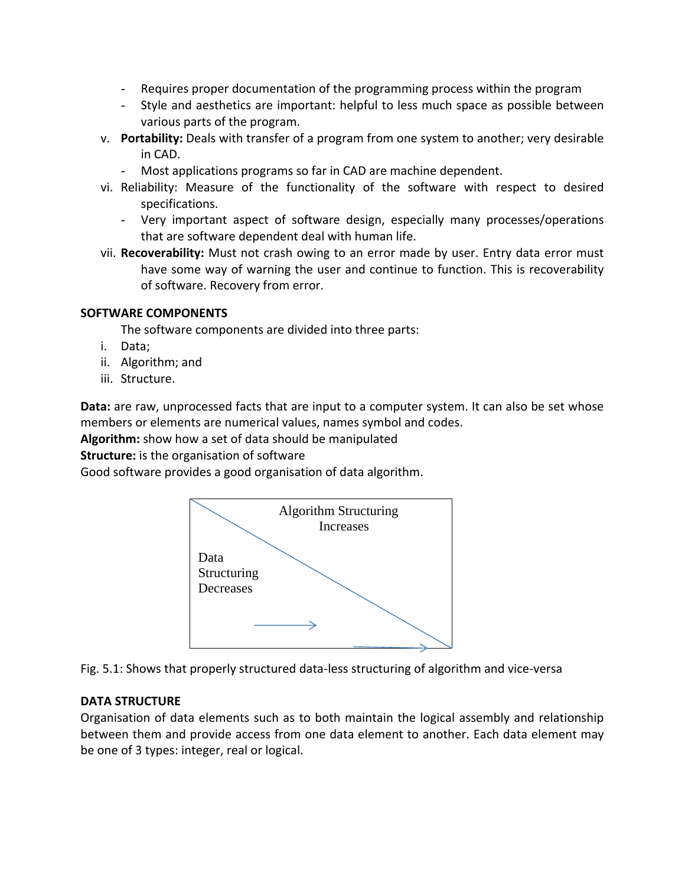- Requires proper documentation of the programming process within the program
- Style and aesthetics are important: helpful to less much space as possible between various parts of the program.
- v. **Portability:** Deals with transfer of a program from one system to another; very desirable in CAD.
	- Most applications programs so far in CAD are machine dependent.
- vi. Reliability: Measure of the functionality of the software with respect to desired specifications.
	- Very important aspect of software design, especially many processes/operations that are software dependent deal with human life.
- vii. **Recoverability:** Must not crash owing to an error made by user. Entry data error must have some way of warning the user and continue to function. This is recoverability of software. Recovery from error.

### **SOFTWARE COMPONENTS**

The software components are divided into three parts:

- i. Data;
- ii. Algorithm; and
- iii. Structure.

**Data:** are raw, unprocessed facts that are input to a computer system. It can also be set whose members or elements are numerical values, names symbol and codes.

**Algorithm:** show how a set of data should be manipulated

**Structure:** is the organisation of software

Good software provides a good organisation of data algorithm.



Fig. 5.1: Shows that properly structured data-less structuring of algorithm and vice-versa

# **DATA STRUCTURE**

Organisation of data elements such as to both maintain the logical assembly and relationship between them and provide access from one data element to another. Each data element may be one of 3 types: integer, real or logical.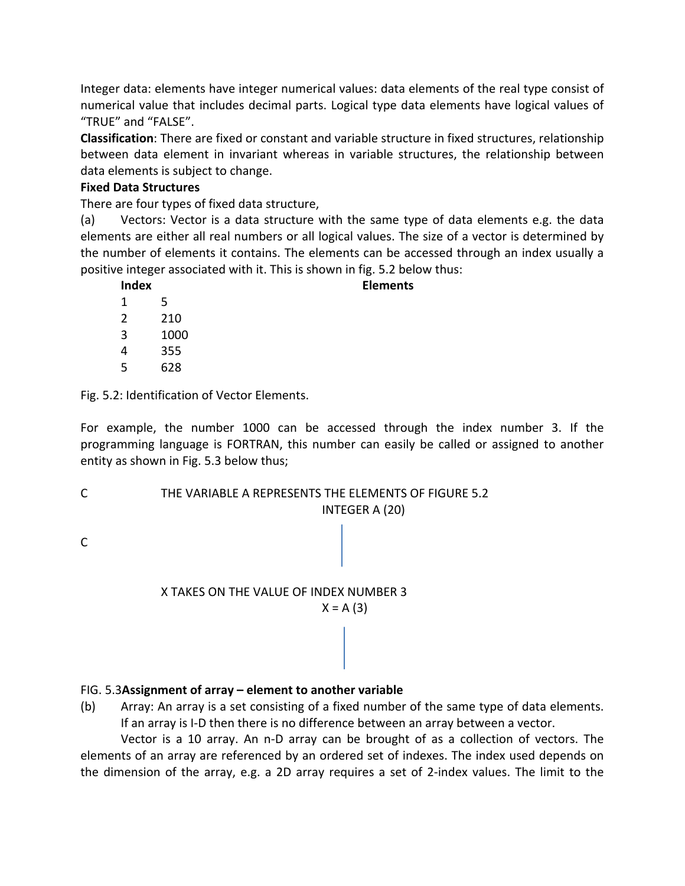Integer data: elements have integer numerical values: data elements of the real type consist of numerical value that includes decimal parts. Logical type data elements have logical values of "TRUE" and "FALSE".

**Classification**: There are fixed or constant and variable structure in fixed structures, relationship between data element in invariant whereas in variable structures, the relationship between data elements is subject to change.

### **Fixed Data Structures**

There are four types of fixed data structure,

(a) Vectors: Vector is a data structure with the same type of data elements e.g. the data elements are either all real numbers or all logical values. The size of a vector is determined by the number of elements it contains. The elements can be accessed through an index usually a positive integer associated with it. This is shown in fig. 5.2 below thus:

**Elements** 

| <b>Index</b> |      |  |
|--------------|------|--|
| 1            | 5    |  |
| 2            | 210  |  |
| 3            | 1000 |  |
| 4            | 355  |  |
| 5            | 628  |  |

Fig. 5.2: Identification of Vector Elements.

For example, the number 1000 can be accessed through the index number 3. If the programming language is FORTRAN, this number can easily be called or assigned to another entity as shown in Fig. 5.3 below thus;

#### C THE VARIABLE A REPRESENTS THE ELEMENTS OF FIGURE 5.2 INTEGER A (20)

C

# X TAKES ON THE VALUE OF INDEX NUMBER 3  $X = A(3)$

# FIG. 5.3**Assignment of array – element to another variable**

(b) Array: An array is a set consisting of a fixed number of the same type of data elements. If an array is I-D then there is no difference between an array between a vector.

 Vector is a 10 array. An n-D array can be brought of as a collection of vectors. The elements of an array are referenced by an ordered set of indexes. The index used depends on the dimension of the array, e.g. a 2D array requires a set of 2-index values. The limit to the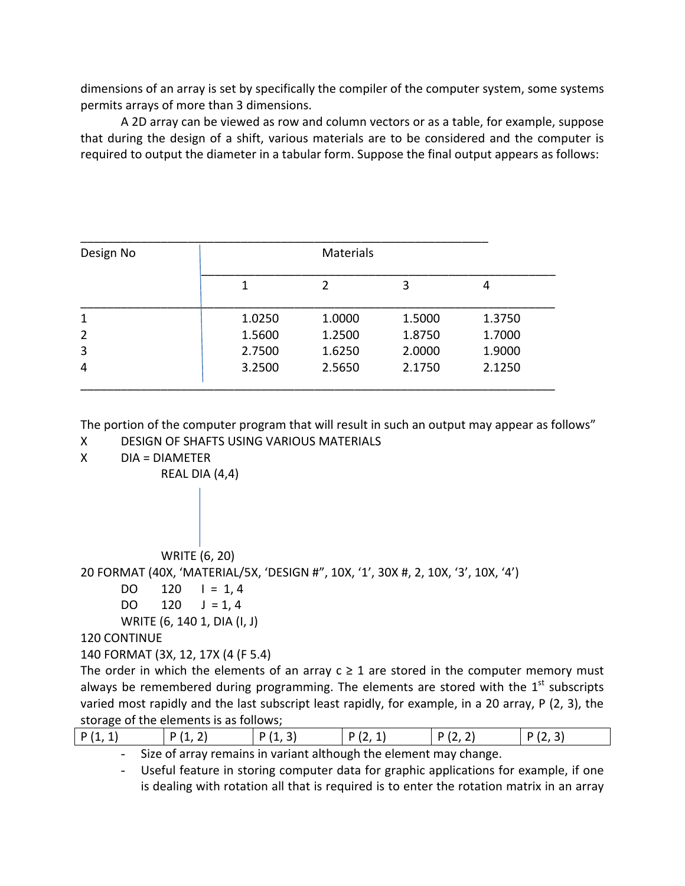dimensions of an array is set by specifically the compiler of the computer system, some systems permits arrays of more than 3 dimensions.

 A 2D array can be viewed as row and column vectors or as a table, for example, suppose that during the design of a shift, various materials are to be considered and the computer is required to output the diameter in a tabular form. Suppose the final output appears as follows:

| Design No      |        | <b>Materials</b> |        |        |
|----------------|--------|------------------|--------|--------|
|                |        | $\overline{2}$   | 3      | 4      |
| 1              | 1.0250 | 1.0000           | 1.5000 | 1.3750 |
| $\overline{2}$ | 1.5600 | 1.2500           | 1.8750 | 1.7000 |
| 3              | 2.7500 | 1.6250           | 2.0000 | 1.9000 |
| 4              | 3.2500 | 2.5650           | 2.1750 | 2.1250 |

The portion of the computer program that will result in such an output may appear as follows" X DESIGN OF SHAFTS USING VARIOUS MATERIALS

X DIA = DIAMETER

REAL DIA (4,4)

WRITE (6, 20)

20 FORMAT (40X, 'MATERIAL/5X, 'DESIGN #", 10X, '1', 30X #, 2, 10X, '3', 10X, '4')

```
DO 120 I = 1, 4DO 120 J = 1, 4
```

```
 WRITE (6, 140 1, DIA (I, J)
```
120 CONTINUE

```
140 FORMAT (3X, 12, 17X (4 (F 5.4)
```
The order in which the elements of an array  $c \ge 1$  are stored in the computer memory must always be remembered during programming. The elements are stored with the  $1<sup>st</sup>$  subscripts varied most rapidly and the last subscript least rapidly, for example, in a 20 array, P (2, 3), the storage of the elements is as follows;

| P(1)<br>14,41 | D / 1<br>. . <i>.</i> | $\sqrt{4}$<br>D<br>$\cdots$ | ר ו<br>$\cdot$ $-$<br>. . | D 12<br>. . <i>.</i> | $\overline{\phantom{a}}$<br>$\mathsf{D}$ $\mathsf{D}$<br>. . |
|---------------|-----------------------|-----------------------------|---------------------------|----------------------|--------------------------------------------------------------|
|               |                       |                             |                           |                      |                                                              |

- Size of array remains in variant although the element may change.

- Useful feature in storing computer data for graphic applications for example, if one is dealing with rotation all that is required is to enter the rotation matrix in an array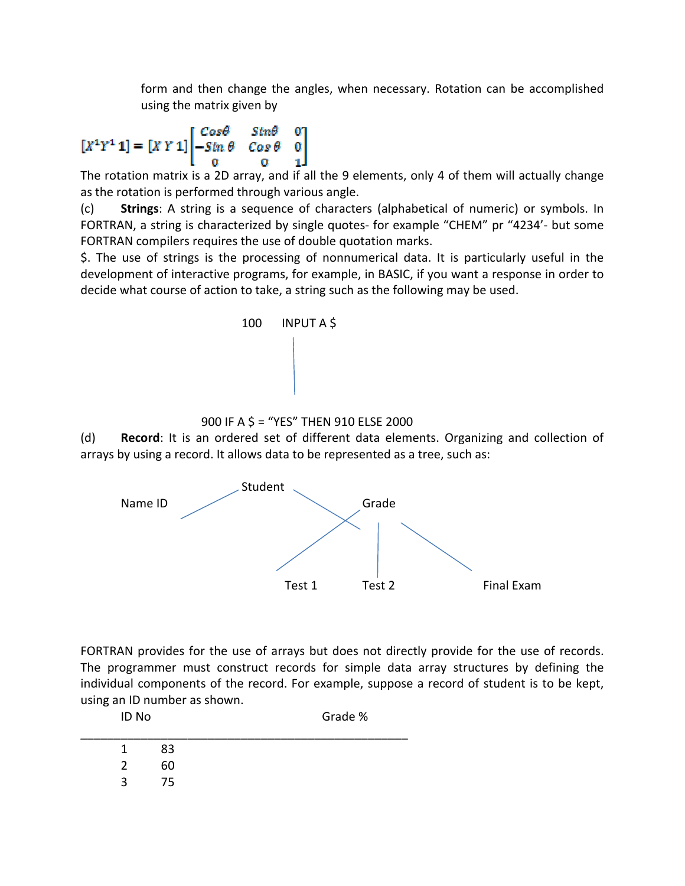form and then change the angles, when necessary. Rotation can be accomplished using the matrix given by

$$
[X^1Y^1\mathbf{1}]=[X\,Y\,\mathbf{1}]\begin{bmatrix}Cos\theta & Str\theta & 0 \\ -Sm\,\theta & Cos\,\theta & 0 \\ 0 & 0 & 1 \end{bmatrix}
$$

The rotation matrix is a 2D array, and if all the 9 elements, only 4 of them will actually change as the rotation is performed through various angle.

(c) **Strings**: A string is a sequence of characters (alphabetical of numeric) or symbols. In FORTRAN, a string is characterized by single quotes- for example "CHEM" pr "4234'- but some FORTRAN compilers requires the use of double quotation marks.

\$. The use of strings is the processing of nonnumerical data. It is particularly useful in the development of interactive programs, for example, in BASIC, if you want a response in order to decide what course of action to take, a string such as the following may be used.



900 IF A \$ = "YES" THEN 910 ELSE 2000

(d) **Record**: It is an ordered set of different data elements. Organizing and collection of arrays by using a record. It allows data to be represented as a tree, such as:



FORTRAN provides for the use of arrays but does not directly provide for the use of records. The programmer must construct records for simple data array structures by defining the individual components of the record. For example, suppose a record of student is to be kept, using an ID number as shown.

| ID No         |    | Grade % |  |
|---------------|----|---------|--|
| 1.            | 83 |         |  |
| $\mathcal{P}$ | 60 |         |  |
| ર             | 75 |         |  |
|               |    |         |  |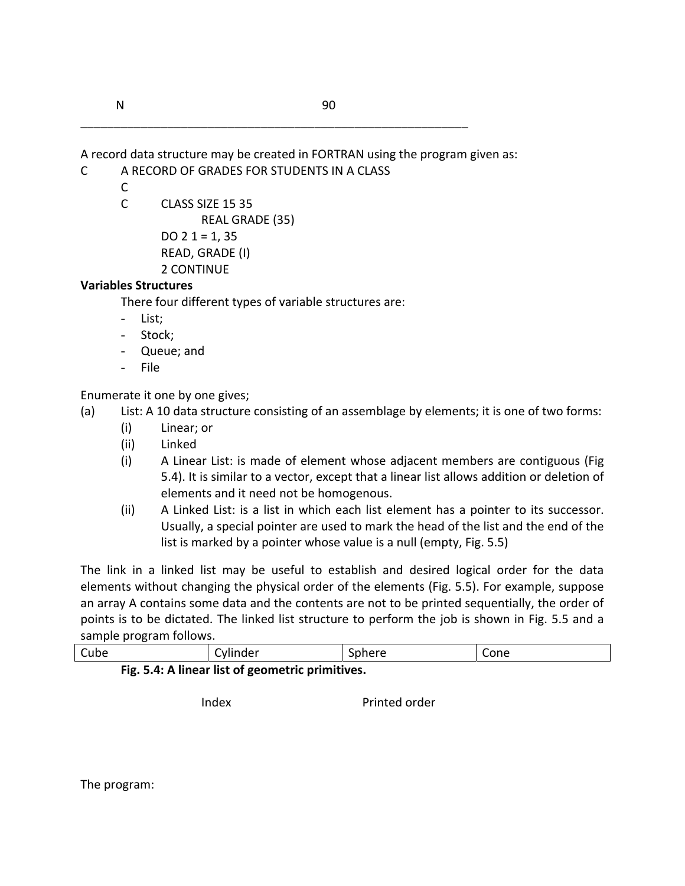A record data structure may be created in FORTRAN using the program given as:

\_\_\_\_\_\_\_\_\_\_\_\_\_\_\_\_\_\_\_\_\_\_\_\_\_\_\_\_\_\_\_\_\_\_\_\_\_\_\_\_\_\_\_\_\_\_\_\_\_\_\_\_\_\_\_\_\_\_

- C A RECORD OF GRADES FOR STUDENTS IN A CLASS
	- $\mathsf{C}$
	- C CLASS SIZE 15 35

REAL GRADE (35)

DO  $2 1 = 1, 35$ READ, GRADE (I)

2 CONTINUE

# **Variables Structures**

There four different types of variable structures are:

- List;
- Stock;
- Queue; and
- File

Enumerate it one by one gives;

- (a) List: A 10 data structure consisting of an assemblage by elements; it is one of two forms:
	- (i) Linear; or
	- (ii) Linked
	- (i) A Linear List: is made of element whose adjacent members are contiguous (Fig 5.4). It is similar to a vector, except that a linear list allows addition or deletion of elements and it need not be homogenous.
	- (ii) A Linked List: is a list in which each list element has a pointer to its successor. Usually, a special pointer are used to mark the head of the list and the end of the list is marked by a pointer whose value is a null (empty, Fig. 5.5)

The link in a linked list may be useful to establish and desired logical order for the data elements without changing the physical order of the elements (Fig. 5.5). For example, suppose an array A contains some data and the contents are not to be printed sequentially, the order of points is to be dictated. The linked list structure to perform the job is shown in Fig. 5.5 and a sample program follows.

| Cube                                             | Cylinder | Sphere | Cone |  |
|--------------------------------------------------|----------|--------|------|--|
| Fig. 5.4: A linear list of geometric primitives. |          |        |      |  |

Index Printed order

The program: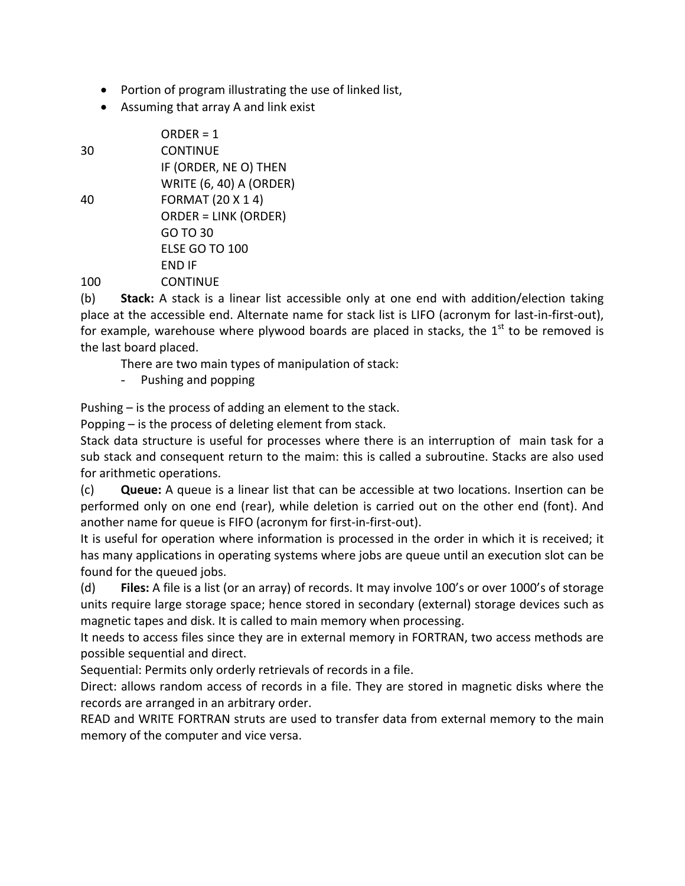- Portion of program illustrating the use of linked list,
- Assuming that array A and link exist

 $100<sub>°</sub>$ 

|     | $ORDER = 1$                    |
|-----|--------------------------------|
| 30  | CONTINUE                       |
|     | IF (ORDER, NE O) THEN          |
|     | <b>WRITE (6, 40) A (ORDER)</b> |
| 40  | <b>FORMAT (20 X 1 4)</b>       |
|     | <b>ORDER = LINK (ORDER)</b>    |
|     | GO TO 30                       |
|     | <b>FLSF GO TO 100</b>          |
|     | FND IF                         |
| 100 | <b>CONTINUE</b>                |
|     |                                |

(b) **Stack:** A stack is a linear list accessible only at one end with addition/election taking place at the accessible end. Alternate name for stack list is LIFO (acronym for last-in-first-out), for example, warehouse where plywood boards are placed in stacks, the  $1<sup>st</sup>$  to be removed is the last board placed.

There are two main types of manipulation of stack:

- Pushing and popping

Pushing – is the process of adding an element to the stack.

Popping – is the process of deleting element from stack.

Stack data structure is useful for processes where there is an interruption of main task for a sub stack and consequent return to the maim: this is called a subroutine. Stacks are also used for arithmetic operations.

(c) **Queue:** A queue is a linear list that can be accessible at two locations. Insertion can be performed only on one end (rear), while deletion is carried out on the other end (font). And another name for queue is FIFO (acronym for first-in-first-out).

It is useful for operation where information is processed in the order in which it is received; it has many applications in operating systems where jobs are queue until an execution slot can be found for the queued jobs.

(d) **Files:** A file is a list (or an array) of records. It may involve 100's or over 1000's of storage units require large storage space; hence stored in secondary (external) storage devices such as magnetic tapes and disk. It is called to main memory when processing.

It needs to access files since they are in external memory in FORTRAN, two access methods are possible sequential and direct.

Sequential: Permits only orderly retrievals of records in a file.

Direct: allows random access of records in a file. They are stored in magnetic disks where the records are arranged in an arbitrary order.

READ and WRITE FORTRAN struts are used to transfer data from external memory to the main memory of the computer and vice versa.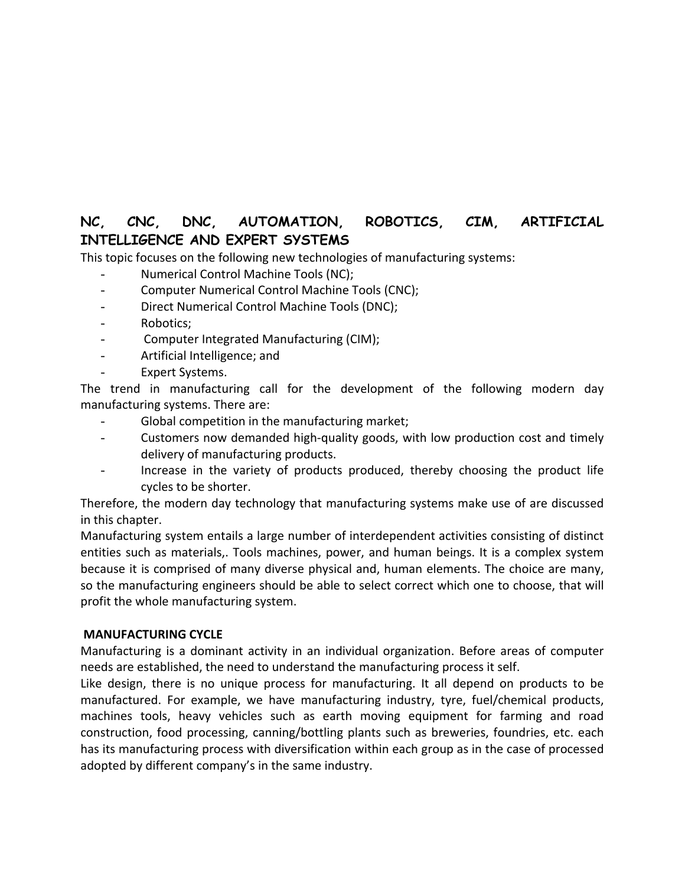# **NC, CNC, DNC, AUTOMATION, ROBOTICS, CIM, ARTIFICIAL INTELLIGENCE AND EXPERT SYSTEMS**

This topic focuses on the following new technologies of manufacturing systems:

- Numerical Control Machine Tools (NC);
- Computer Numerical Control Machine Tools (CNC);
- Direct Numerical Control Machine Tools (DNC);
- Robotics;
- Computer Integrated Manufacturing (CIM);
- Artificial Intelligence; and
- Expert Systems.

The trend in manufacturing call for the development of the following modern day manufacturing systems. There are:

- Global competition in the manufacturing market;
- Customers now demanded high-quality goods, with low production cost and timely delivery of manufacturing products.
- Increase in the variety of products produced, thereby choosing the product life cycles to be shorter.

Therefore, the modern day technology that manufacturing systems make use of are discussed in this chapter.

Manufacturing system entails a large number of interdependent activities consisting of distinct entities such as materials,. Tools machines, power, and human beings. It is a complex system because it is comprised of many diverse physical and, human elements. The choice are many, so the manufacturing engineers should be able to select correct which one to choose, that will profit the whole manufacturing system.

#### **MANUFACTURING CYCLE**

Manufacturing is a dominant activity in an individual organization. Before areas of computer needs are established, the need to understand the manufacturing process it self.

Like design, there is no unique process for manufacturing. It all depend on products to be manufactured. For example, we have manufacturing industry, tyre, fuel/chemical products, machines tools, heavy vehicles such as earth moving equipment for farming and road construction, food processing, canning/bottling plants such as breweries, foundries, etc. each has its manufacturing process with diversification within each group as in the case of processed adopted by different company's in the same industry.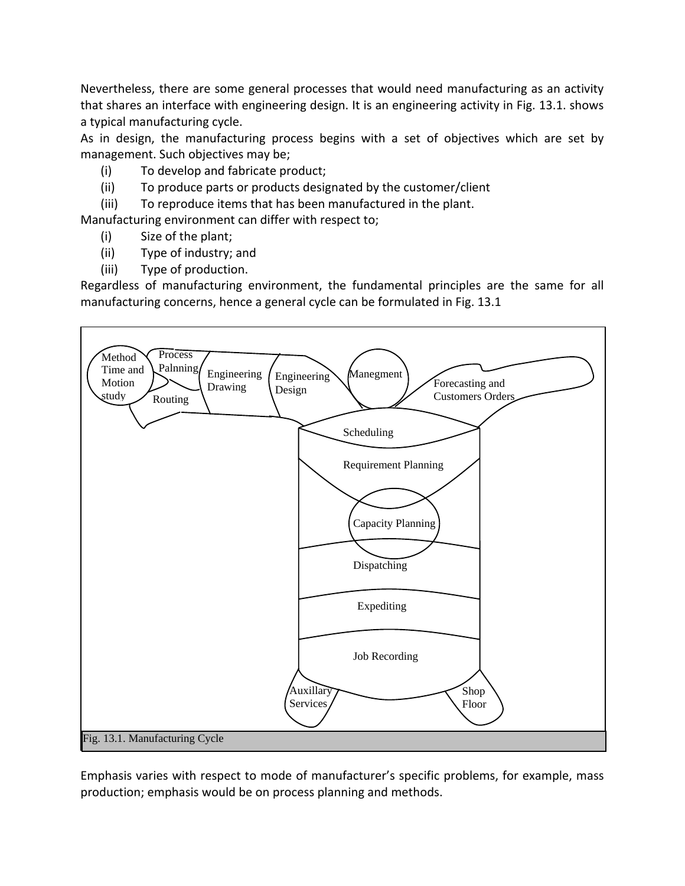Nevertheless, there are some general processes that would need manufacturing as an activity that shares an interface with engineering design. It is an engineering activity in Fig. 13.1. shows a typical manufacturing cycle.

As in design, the manufacturing process begins with a set of objectives which are set by management. Such objectives may be;

- (i) To develop and fabricate product;
- (ii) To produce parts or products designated by the customer/client
- (iii) To reproduce items that has been manufactured in the plant.

Manufacturing environment can differ with respect to;

- (i) Size of the plant;
- (ii) Type of industry; and
- (iii) Type of production.

Regardless of manufacturing environment, the fundamental principles are the same for all manufacturing concerns, hence a general cycle can be formulated in Fig. 13.1



Emphasis varies with respect to mode of manufacturer's specific problems, for example, mass production; emphasis would be on process planning and methods.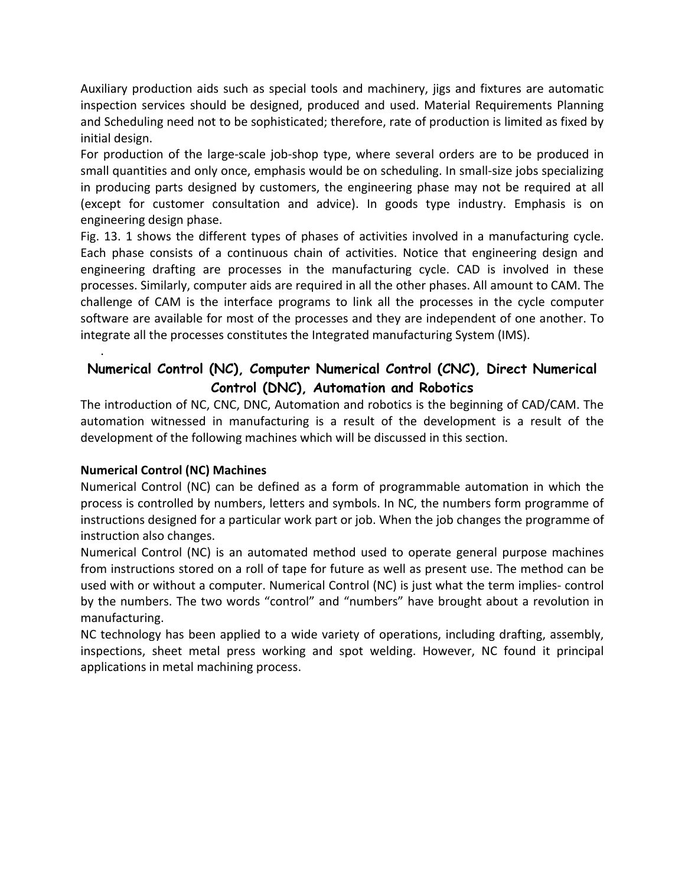Auxiliary production aids such as special tools and machinery, jigs and fixtures are automatic inspection services should be designed, produced and used. Material Requirements Planning and Scheduling need not to be sophisticated; therefore, rate of production is limited as fixed by initial design.

For production of the large-scale job-shop type, where several orders are to be produced in small quantities and only once, emphasis would be on scheduling. In small-size jobs specializing in producing parts designed by customers, the engineering phase may not be required at all (except for customer consultation and advice). In goods type industry. Emphasis is on engineering design phase.

Fig. 13. 1 shows the different types of phases of activities involved in a manufacturing cycle. Each phase consists of a continuous chain of activities. Notice that engineering design and engineering drafting are processes in the manufacturing cycle. CAD is involved in these processes. Similarly, computer aids are required in all the other phases. All amount to CAM. The challenge of CAM is the interface programs to link all the processes in the cycle computer software are available for most of the processes and they are independent of one another. To integrate all the processes constitutes the Integrated manufacturing System (IMS).

# **Numerical Control (NC), Computer Numerical Control (CNC), Direct Numerical Control (DNC), Automation and Robotics**

The introduction of NC, CNC, DNC, Automation and robotics is the beginning of CAD/CAM. The automation witnessed in manufacturing is a result of the development is a result of the development of the following machines which will be discussed in this section.

# **Numerical Control (NC) Machines**

.

Numerical Control (NC) can be defined as a form of programmable automation in which the process is controlled by numbers, letters and symbols. In NC, the numbers form programme of instructions designed for a particular work part or job. When the job changes the programme of instruction also changes.

Numerical Control (NC) is an automated method used to operate general purpose machines from instructions stored on a roll of tape for future as well as present use. The method can be used with or without a computer. Numerical Control (NC) is just what the term implies- control by the numbers. The two words "control" and "numbers" have brought about a revolution in manufacturing.

NC technology has been applied to a wide variety of operations, including drafting, assembly, inspections, sheet metal press working and spot welding. However, NC found it principal applications in metal machining process.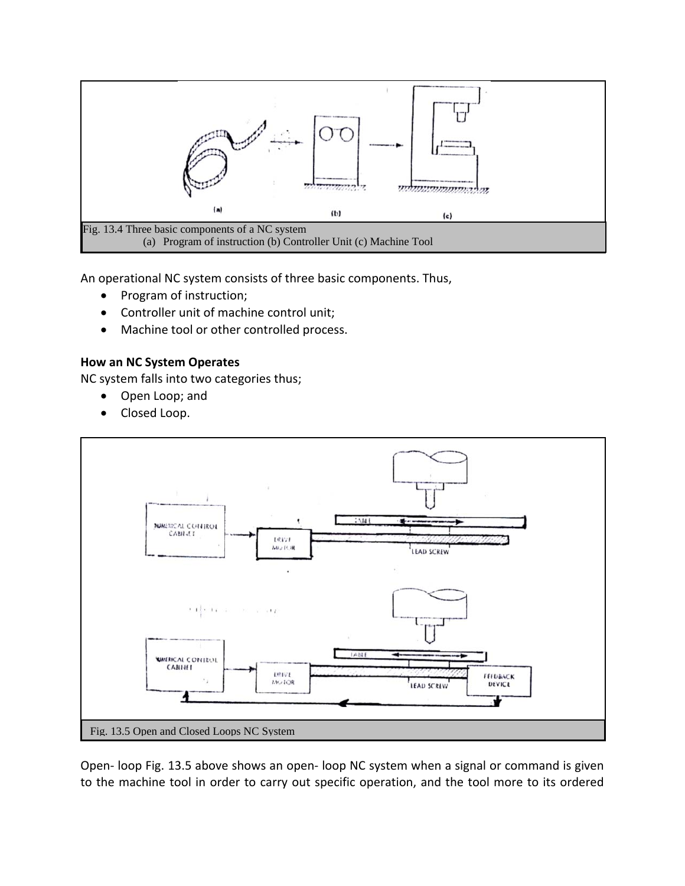

An operational NC system consists of three basic components. Thus,

- Program of instruction;
- Controller unit of machine control unit;
- Machine tool or other controlled process.

### **How an NC System Operates**

NC system falls into two categories thus;

- Open Loop; and
- Closed Loop.



Open- loop Fig. 13.5 above shows an open- loop NC system when a signal or command is given to the machine tool in order to carry out specific operation, and the tool more to its ordered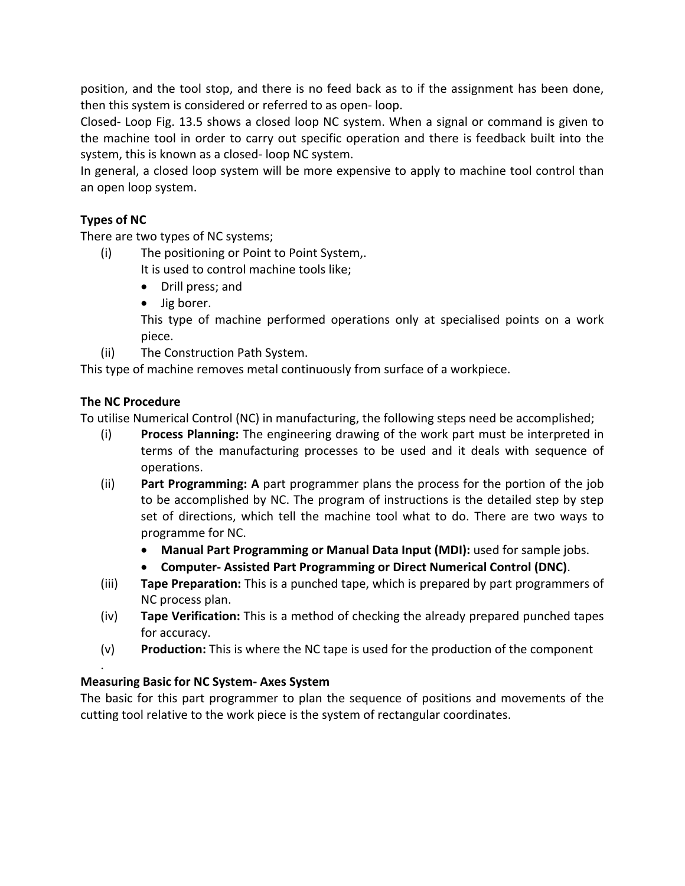position, and the tool stop, and there is no feed back as to if the assignment has been done, then this system is considered or referred to as open- loop.

Closed- Loop Fig. 13.5 shows a closed loop NC system. When a signal or command is given to the machine tool in order to carry out specific operation and there is feedback built into the system, this is known as a closed- loop NC system.

In general, a closed loop system will be more expensive to apply to machine tool control than an open loop system.

# **Types of NC**

There are two types of NC systems;

- (i) The positioning or Point to Point System,.
	- It is used to control machine tools like;
		- Drill press; and
		- Jig borer.

This type of machine performed operations only at specialised points on a work piece.

(ii) The Construction Path System.

This type of machine removes metal continuously from surface of a workpiece.

# **The NC Procedure**

.

To utilise Numerical Control (NC) in manufacturing, the following steps need be accomplished;

- (i) **Process Planning:** The engineering drawing of the work part must be interpreted in terms of the manufacturing processes to be used and it deals with sequence of operations.
- (ii) **Part Programming: A** part programmer plans the process for the portion of the job to be accomplished by NC. The program of instructions is the detailed step by step set of directions, which tell the machine tool what to do. There are two ways to programme for NC.
	- **Manual Part Programming or Manual Data Input (MDI):** used for sample jobs.
	- **Computer- Assisted Part Programming or Direct Numerical Control (DNC)**.
- (iii) **Tape Preparation:** This is a punched tape, which is prepared by part programmers of NC process plan.
- (iv) **Tape Verification:** This is a method of checking the already prepared punched tapes for accuracy.
- (v) **Production:** This is where the NC tape is used for the production of the component

# **Measuring Basic for NC System- Axes System**

The basic for this part programmer to plan the sequence of positions and movements of the cutting tool relative to the work piece is the system of rectangular coordinates.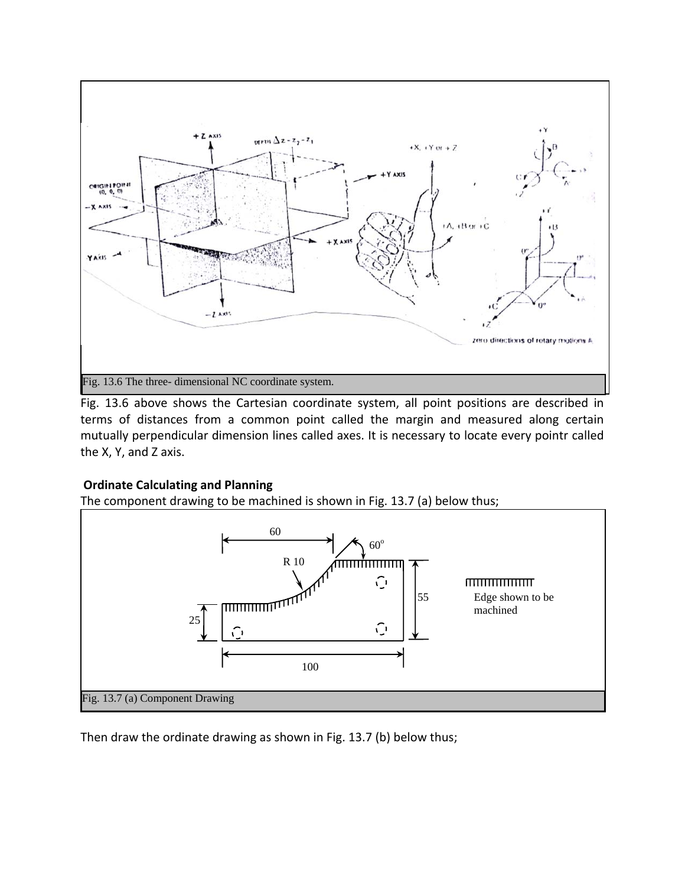

Fig. 13.6 above shows the Cartesian coordinate system, all point positions are described in terms of distances from a common point called the margin and measured along certain mutually perpendicular dimension lines called axes. It is necessary to locate every pointr called the X, Y, and Z axis.

# **Ordinate Calculating and Planning**

The component drawing to be machined is shown in Fig. 13.7 (a) below thus;



Then draw the ordinate drawing as shown in Fig. 13.7 (b) below thus;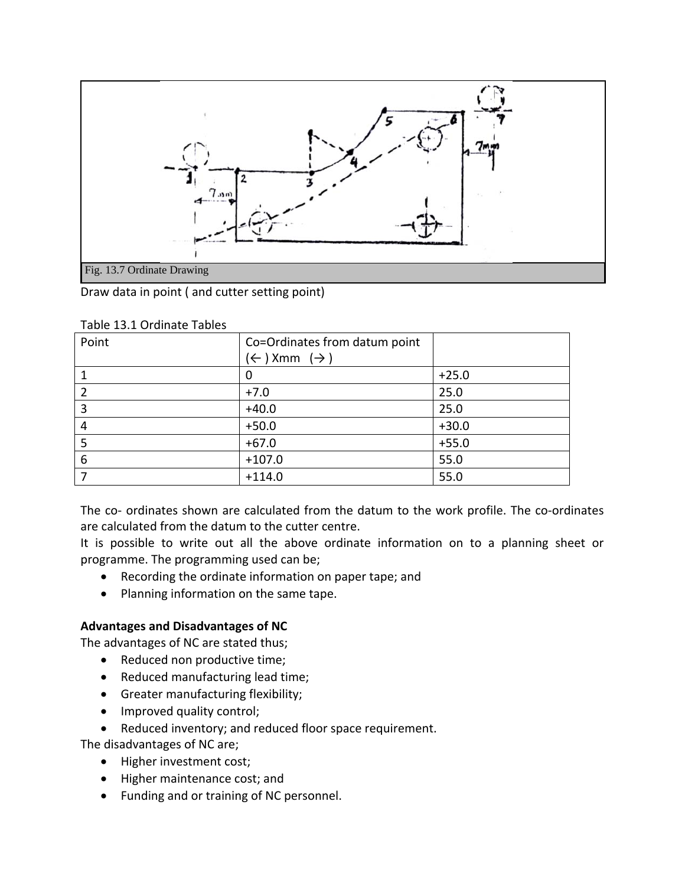

Draw data in point ( and cutter setting point)

| Point          | Co=Ordinates from datum point      |         |
|----------------|------------------------------------|---------|
|                | $(\leftarrow)$ Xmm $(\rightarrow)$ |         |
| 1              | U                                  | $+25.0$ |
| $\overline{2}$ | $+7.0$                             | 25.0    |
| 3              | $+40.0$                            | 25.0    |
| 4              | $+50.0$                            | $+30.0$ |
| 5              | $+67.0$                            | $+55.0$ |
| 6              | $+107.0$                           | 55.0    |
| 7              | $+114.0$                           | 55.0    |

Table 13.1 Ordinate Tables

The co- ordinates shown are calculated from the datum to the work profile. The co-ordinates are calculated from the datum to the cutter centre.

It is possible to write out all the above ordinate information on to a planning sheet or programme. The programming used can be;

- Recording the ordinate information on paper tape; and
- Planning information on the same tape.

#### **Advantages and Disadvantages of NC**

The advantages of NC are stated thus;

- Reduced non productive time;
- Reduced manufacturing lead time;
- Greater manufacturing flexibility;
- Improved quality control;
- Reduced inventory; and reduced floor space requirement.

The disadvantages of NC are;

- Higher investment cost;
- Higher maintenance cost; and
- Funding and or training of NC personnel.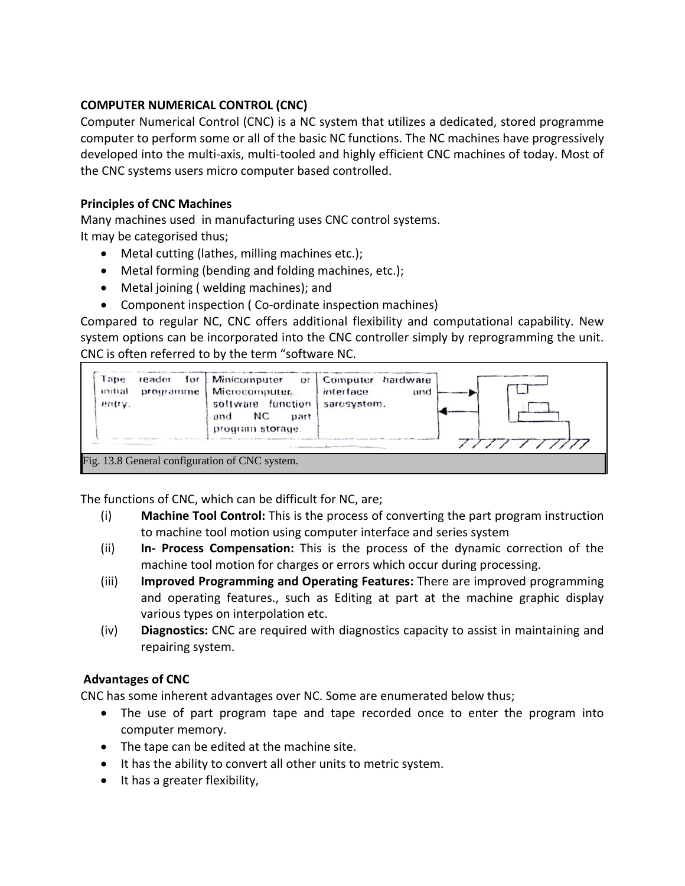# **COMPUTER NUMERICAL CONTROL (CNC)**

Computer Numerical Control (CNC) is a NC system that utilizes a dedicated, stored programme computer to perform some or all of the basic NC functions. The NC machines have progressively developed into the multi-axis, multi-tooled and highly efficient CNC machines of today. Most of the CNC systems users micro computer based controlled.

# **Principles of CNC Machines**

Many machines used in manufacturing uses CNC control systems.

It may be categorised thus;

- Metal cutting (lathes, milling machines etc.);
- Metal forming (bending and folding machines, etc.);
- Metal joining ( welding machines); and
- Component inspection ( Co-ordinate inspection machines)

Compared to regular NC, CNC offers additional flexibility and computational capability. New system options can be incorporated into the CNC controller simply by reprogramming the unit. CNC is often referred to by the term "software NC.



The functions of CNC, which can be difficult for NC, are;

- (i) **Machine Tool Control:** This is the process of converting the part program instruction to machine tool motion using computer interface and series system
- (ii) **In- Process Compensation:** This is the process of the dynamic correction of the machine tool motion for charges or errors which occur during processing.
- (iii) **Improved Programming and Operating Features:** There are improved programming and operating features., such as Editing at part at the machine graphic display various types on interpolation etc.
- (iv) **Diagnostics:** CNC are required with diagnostics capacity to assist in maintaining and repairing system.

# **Advantages of CNC**

CNC has some inherent advantages over NC. Some are enumerated below thus;

- The use of part program tape and tape recorded once to enter the program into computer memory.
- The tape can be edited at the machine site.
- It has the ability to convert all other units to metric system.
- It has a greater flexibility,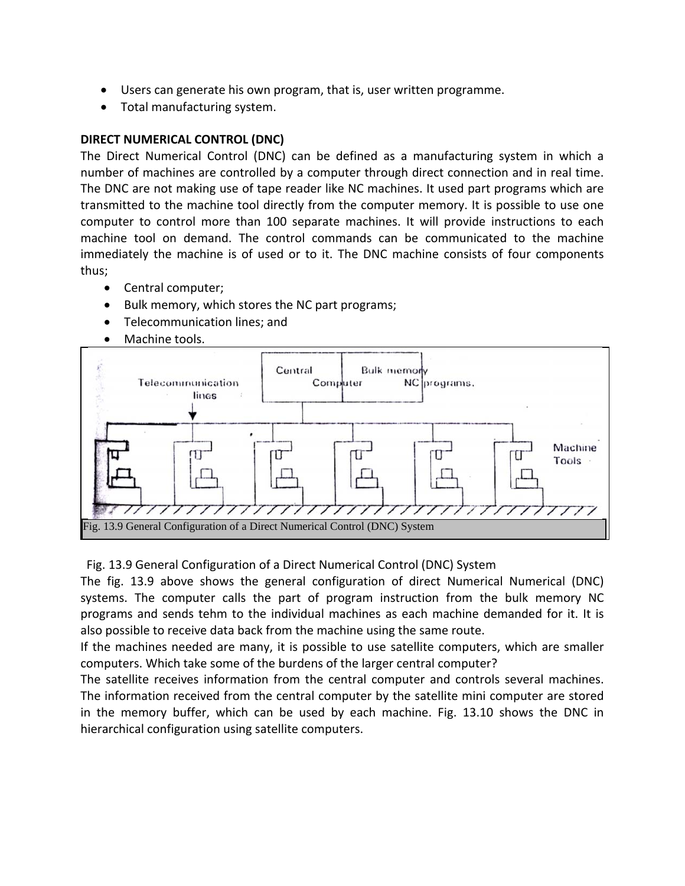- Users can generate his own program, that is, user written programme.
- Total manufacturing system.

### **DIRECT NUMERICAL CONTROL (DNC)**

The Direct Numerical Control (DNC) can be defined as a manufacturing system in which a number of machines are controlled by a computer through direct connection and in real time. The DNC are not making use of tape reader like NC machines. It used part programs which are transmitted to the machine tool directly from the computer memory. It is possible to use one computer to control more than 100 separate machines. It will provide instructions to each machine tool on demand. The control commands can be communicated to the machine immediately the machine is of used or to it. The DNC machine consists of four components thus;

- Central computer;
- Bulk memory, which stores the NC part programs;
- Telecommunication lines; and
- Machine tools.



#### Fig. 13.9 General Configuration of a Direct Numerical Control (DNC) System

The fig. 13.9 above shows the general configuration of direct Numerical Numerical (DNC) systems. The computer calls the part of program instruction from the bulk memory NC programs and sends tehm to the individual machines as each machine demanded for it. It is also possible to receive data back from the machine using the same route.

If the machines needed are many, it is possible to use satellite computers, which are smaller computers. Which take some of the burdens of the larger central computer?

The satellite receives information from the central computer and controls several machines. The information received from the central computer by the satellite mini computer are stored in the memory buffer, which can be used by each machine. Fig. 13.10 shows the DNC in hierarchical configuration using satellite computers.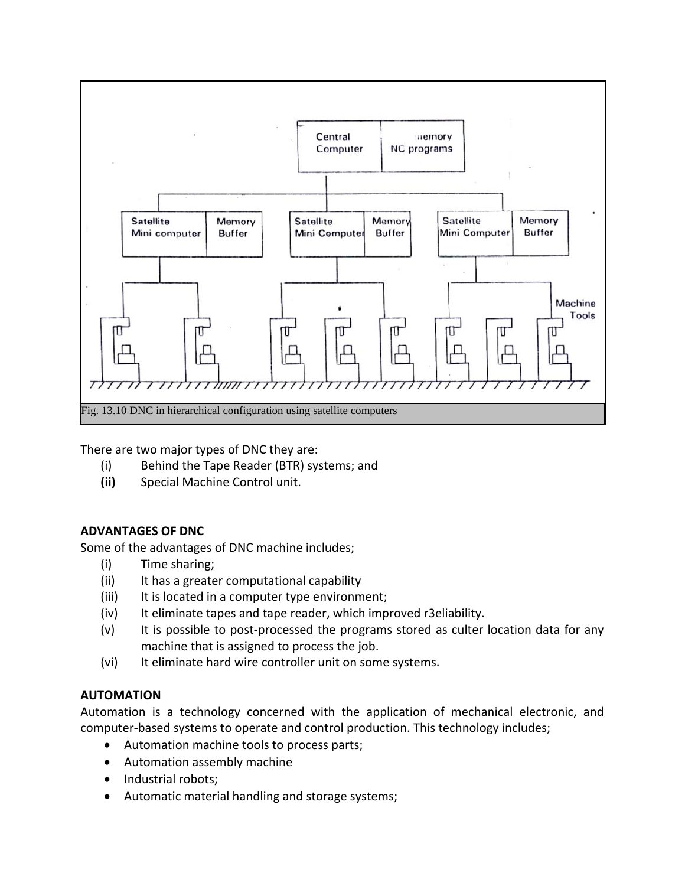

There are two major types of DNC they are:

- (i) Behind the Tape Reader (BTR) systems; and
- **(ii)** Special Machine Control unit.

# **ADVANTAGES OF DNC**

Some of the advantages of DNC machine includes;

- (i) Time sharing;
- (ii) It has a greater computational capability
- (iii) It is located in a computer type environment;
- (iv) It eliminate tapes and tape reader, which improved r3eliability.
- (v) It is possible to post-processed the programs stored as culter location data for any machine that is assigned to process the job.
- (vi) It eliminate hard wire controller unit on some systems.

# **AUTOMATION**

Automation is a technology concerned with the application of mechanical electronic, and computer-based systems to operate and control production. This technology includes;

- Automation machine tools to process parts;
- Automation assembly machine
- Industrial robots;
- Automatic material handling and storage systems;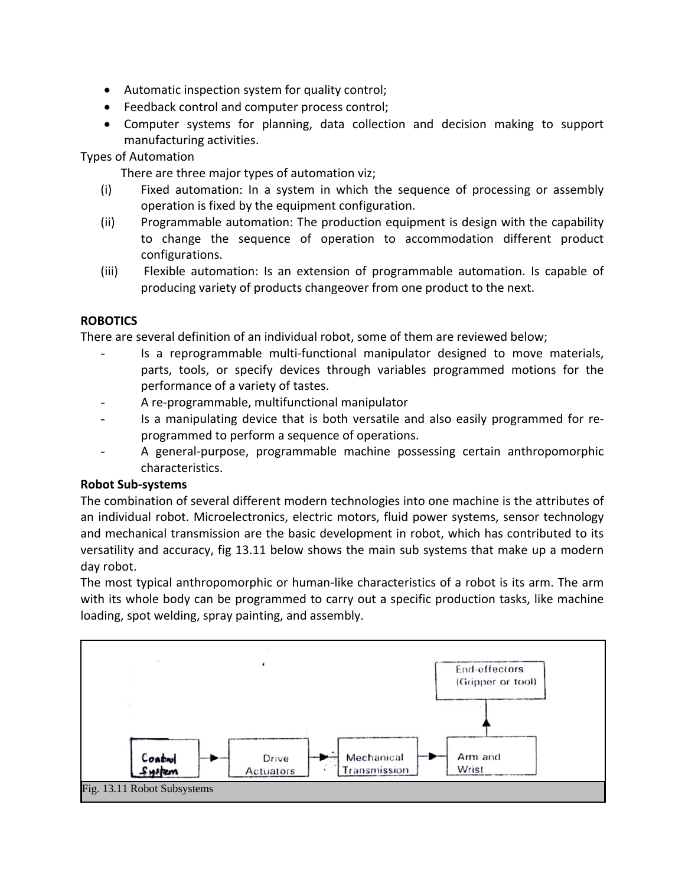- Automatic inspection system for quality control;
- Feedback control and computer process control;
- Computer systems for planning, data collection and decision making to support manufacturing activities.

Types of Automation

There are three major types of automation viz;

- (i) Fixed automation: In a system in which the sequence of processing or assembly operation is fixed by the equipment configuration.
- (ii) Programmable automation: The production equipment is design with the capability to change the sequence of operation to accommodation different product configurations.
- (iii) Flexible automation: Is an extension of programmable automation. Is capable of producing variety of products changeover from one product to the next.

# **ROBOTICS**

There are several definition of an individual robot, some of them are reviewed below;

- Is a reprogrammable multi-functional manipulator designed to move materials, parts, tools, or specify devices through variables programmed motions for the performance of a variety of tastes.
- A re-programmable, multifunctional manipulator
- Is a manipulating device that is both versatile and also easily programmed for reprogrammed to perform a sequence of operations.
- A general-purpose, programmable machine possessing certain anthropomorphic characteristics.

# **Robot Sub-systems**

The combination of several different modern technologies into one machine is the attributes of an individual robot. Microelectronics, electric motors, fluid power systems, sensor technology and mechanical transmission are the basic development in robot, which has contributed to its versatility and accuracy, fig 13.11 below shows the main sub systems that make up a modern day robot.

The most typical anthropomorphic or human-like characteristics of a robot is its arm. The arm with its whole body can be programmed to carry out a specific production tasks, like machine loading, spot welding, spray painting, and assembly.

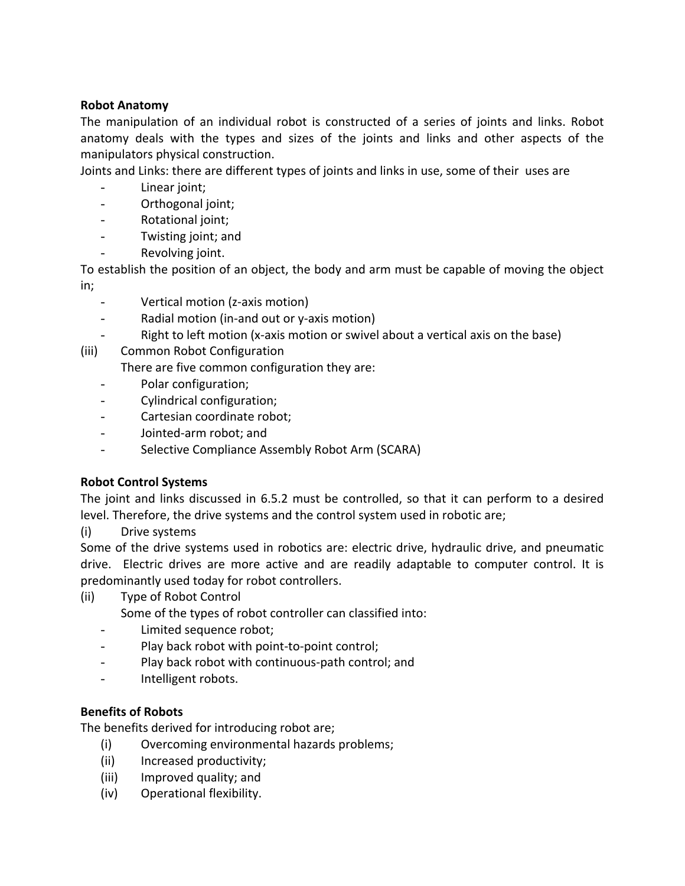### **Robot Anatomy**

The manipulation of an individual robot is constructed of a series of joints and links. Robot anatomy deals with the types and sizes of the joints and links and other aspects of the manipulators physical construction.

Joints and Links: there are different types of joints and links in use, some of their uses are

- Linear joint;
- Orthogonal joint;
- Rotational joint;
- Twisting joint; and
- Revolving joint.

To establish the position of an object, the body and arm must be capable of moving the object in;

- Vertical motion (z-axis motion)
- Radial motion (in-and out or y-axis motion)
- Right to left motion (x-axis motion or swivel about a vertical axis on the base)
- (iii) Common Robot Configuration

There are five common configuration they are:

- Polar configuration;
- Cylindrical configuration;
- Cartesian coordinate robot;
- Jointed-arm robot; and
- Selective Compliance Assembly Robot Arm (SCARA)

# **Robot Control Systems**

The joint and links discussed in 6.5.2 must be controlled, so that it can perform to a desired level. Therefore, the drive systems and the control system used in robotic are;

(i) Drive systems

Some of the drive systems used in robotics are: electric drive, hydraulic drive, and pneumatic drive. Electric drives are more active and are readily adaptable to computer control. It is predominantly used today for robot controllers.

(ii) Type of Robot Control

Some of the types of robot controller can classified into:

- Limited sequence robot;
- Play back robot with point-to-point control;
- Play back robot with continuous-path control; and
- Intelligent robots.

# **Benefits of Robots**

The benefits derived for introducing robot are;

- (i) Overcoming environmental hazards problems;
- (ii) Increased productivity;
- (iii) Improved quality; and
- (iv) Operational flexibility.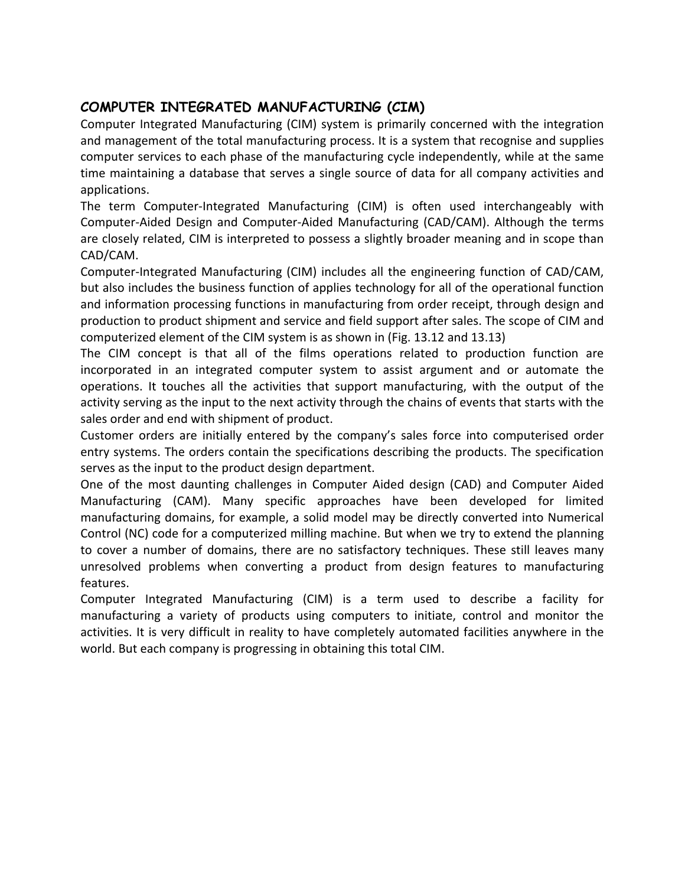# **COMPUTER INTEGRATED MANUFACTURING (CIM)**

Computer Integrated Manufacturing (CIM) system is primarily concerned with the integration and management of the total manufacturing process. It is a system that recognise and supplies computer services to each phase of the manufacturing cycle independently, while at the same time maintaining a database that serves a single source of data for all company activities and applications.

The term Computer-Integrated Manufacturing (CIM) is often used interchangeably with Computer-Aided Design and Computer-Aided Manufacturing (CAD/CAM). Although the terms are closely related, CIM is interpreted to possess a slightly broader meaning and in scope than CAD/CAM.

Computer-Integrated Manufacturing (CIM) includes all the engineering function of CAD/CAM, but also includes the business function of applies technology for all of the operational function and information processing functions in manufacturing from order receipt, through design and production to product shipment and service and field support after sales. The scope of CIM and computerized element of the CIM system is as shown in (Fig. 13.12 and 13.13)

The CIM concept is that all of the films operations related to production function are incorporated in an integrated computer system to assist argument and or automate the operations. It touches all the activities that support manufacturing, with the output of the activity serving as the input to the next activity through the chains of events that starts with the sales order and end with shipment of product.

Customer orders are initially entered by the company's sales force into computerised order entry systems. The orders contain the specifications describing the products. The specification serves as the input to the product design department.

One of the most daunting challenges in Computer Aided design (CAD) and Computer Aided Manufacturing (CAM). Many specific approaches have been developed for limited manufacturing domains, for example, a solid model may be directly converted into Numerical Control (NC) code for a computerized milling machine. But when we try to extend the planning to cover a number of domains, there are no satisfactory techniques. These still leaves many unresolved problems when converting a product from design features to manufacturing features.

Computer Integrated Manufacturing (CIM) is a term used to describe a facility for manufacturing a variety of products using computers to initiate, control and monitor the activities. It is very difficult in reality to have completely automated facilities anywhere in the world. But each company is progressing in obtaining this total CIM.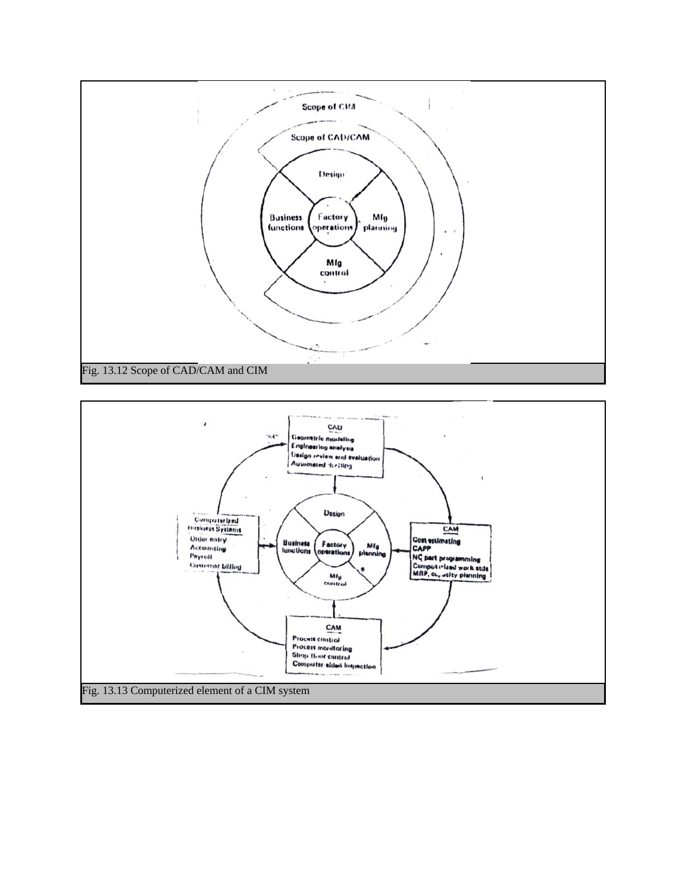

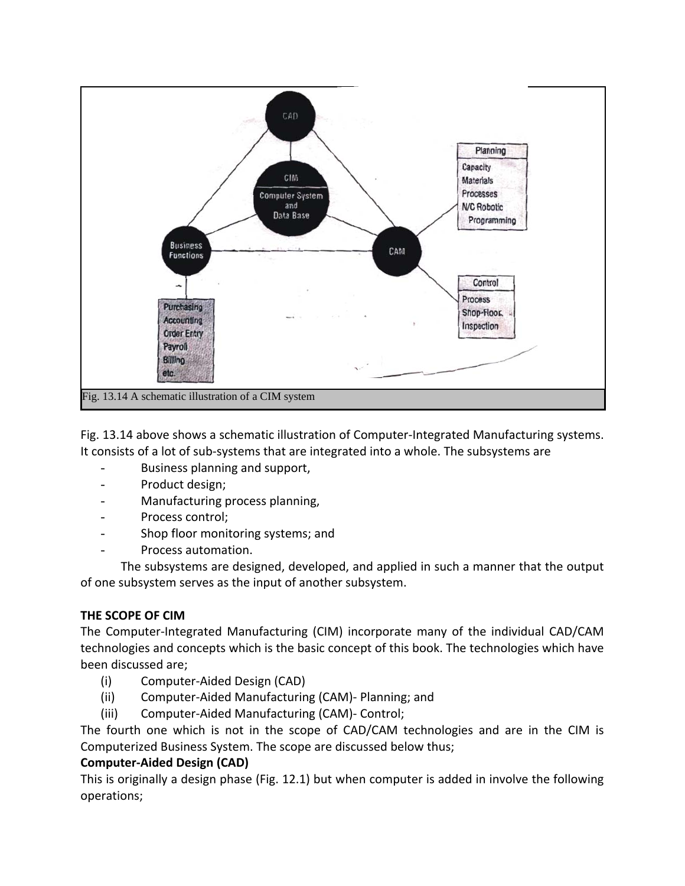

Fig. 13.14 above shows a schematic illustration of Computer-Integrated Manufacturing systems. It consists of a lot of sub-systems that are integrated into a whole. The subsystems are

- Business planning and support,
- Product design;
- Manufacturing process planning,
- Process control;
- Shop floor monitoring systems; and
- Process automation.

The subsystems are designed, developed, and applied in such a manner that the output of one subsystem serves as the input of another subsystem.

# **THE SCOPE OF CIM**

The Computer-Integrated Manufacturing (CIM) incorporate many of the individual CAD/CAM technologies and concepts which is the basic concept of this book. The technologies which have been discussed are;

- (i) Computer-Aided Design (CAD)
- (ii) Computer-Aided Manufacturing (CAM)- Planning; and
- (iii) Computer-Aided Manufacturing (CAM)- Control;

The fourth one which is not in the scope of CAD/CAM technologies and are in the CIM is Computerized Business System. The scope are discussed below thus;

# **Computer-Aided Design (CAD)**

This is originally a design phase (Fig. 12.1) but when computer is added in involve the following operations;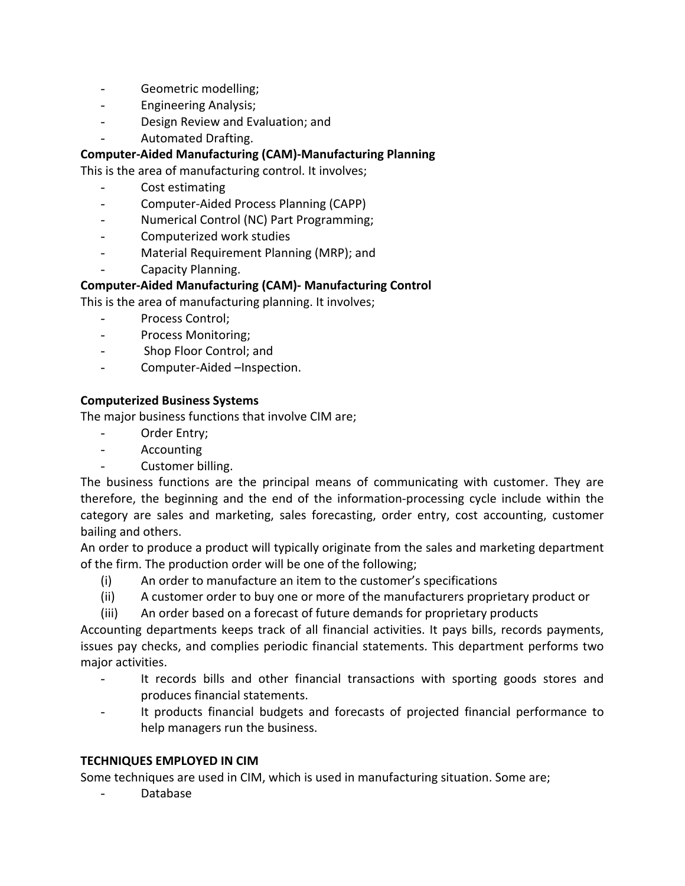- Geometric modelling;
- Engineering Analysis;
- Design Review and Evaluation; and
- Automated Drafting.

# **Computer-Aided Manufacturing (CAM)-Manufacturing Planning**

This is the area of manufacturing control. It involves;

- Cost estimating
- Computer-Aided Process Planning (CAPP)
- Numerical Control (NC) Part Programming;
- Computerized work studies
- Material Requirement Planning (MRP); and
- Capacity Planning.

# **Computer-Aided Manufacturing (CAM)- Manufacturing Control**

This is the area of manufacturing planning. It involves;

- Process Control;
- Process Monitoring;
- Shop Floor Control; and
- Computer-Aided –Inspection.

# **Computerized Business Systems**

The major business functions that involve CIM are;

- Order Entry;
- Accounting
- Customer billing.

The business functions are the principal means of communicating with customer. They are therefore, the beginning and the end of the information-processing cycle include within the category are sales and marketing, sales forecasting, order entry, cost accounting, customer bailing and others.

An order to produce a product will typically originate from the sales and marketing department of the firm. The production order will be one of the following;

- (i) An order to manufacture an item to the customer's specifications
- (ii) A customer order to buy one or more of the manufacturers proprietary product or
- (iii) An order based on a forecast of future demands for proprietary products

Accounting departments keeps track of all financial activities. It pays bills, records payments, issues pay checks, and complies periodic financial statements. This department performs two major activities.

- It records bills and other financial transactions with sporting goods stores and produces financial statements.
- It products financial budgets and forecasts of projected financial performance to help managers run the business.

# **TECHNIQUES EMPLOYED IN CIM**

Some techniques are used in CIM, which is used in manufacturing situation. Some are;

- Database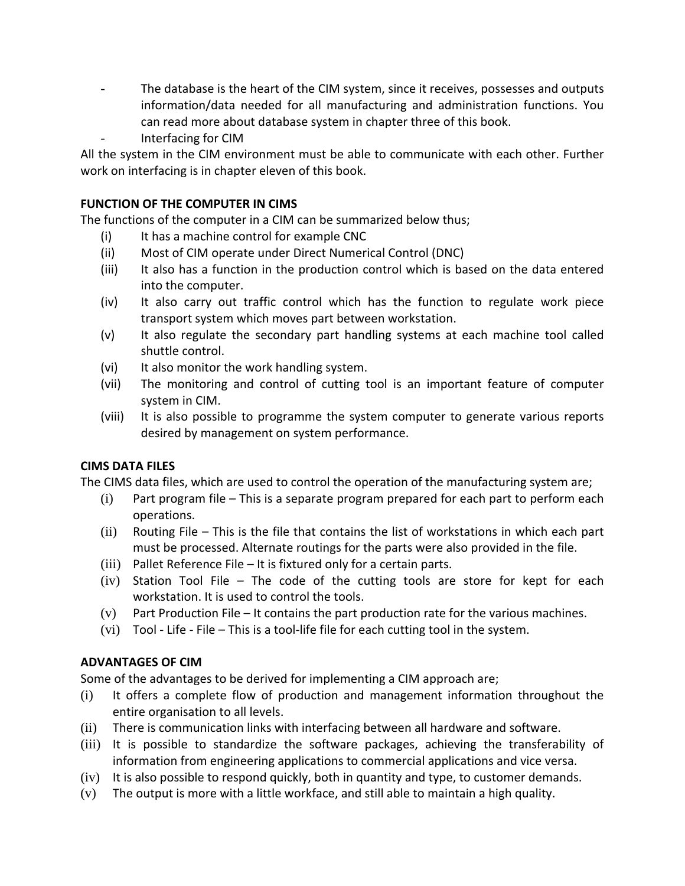- The database is the heart of the CIM system, since it receives, possesses and outputs information/data needed for all manufacturing and administration functions. You can read more about database system in chapter three of this book.
- Interfacing for CIM

All the system in the CIM environment must be able to communicate with each other. Further work on interfacing is in chapter eleven of this book.

### **FUNCTION OF THE COMPUTER IN CIMS**

The functions of the computer in a CIM can be summarized below thus;

- (i) It has a machine control for example CNC
- (ii) Most of CIM operate under Direct Numerical Control (DNC)
- (iii) It also has a function in the production control which is based on the data entered into the computer.
- (iv) It also carry out traffic control which has the function to regulate work piece transport system which moves part between workstation.
- (v) It also regulate the secondary part handling systems at each machine tool called shuttle control.
- (vi) It also monitor the work handling system.
- (vii) The monitoring and control of cutting tool is an important feature of computer system in CIM.
- (viii) It is also possible to programme the system computer to generate various reports desired by management on system performance.

#### **CIMS DATA FILES**

The CIMS data files, which are used to control the operation of the manufacturing system are;

- (i) Part program file This is a separate program prepared for each part to perform each operations.
- (ii) Routing File This is the file that contains the list of workstations in which each part must be processed. Alternate routings for the parts were also provided in the file.
- (iii) Pallet Reference File It is fixtured only for a certain parts.
- (iv) Station Tool File The code of the cutting tools are store for kept for each workstation. It is used to control the tools.
- (v) Part Production File It contains the part production rate for the various machines.
- (vi) Tool Life File This is a tool-life file for each cutting tool in the system.

#### **ADVANTAGES OF CIM**

Some of the advantages to be derived for implementing a CIM approach are;

- (i) It offers a complete flow of production and management information throughout the entire organisation to all levels.
- (ii) There is communication links with interfacing between all hardware and software.
- (iii) It is possible to standardize the software packages, achieving the transferability of information from engineering applications to commercial applications and vice versa.
- (iv) It is also possible to respond quickly, both in quantity and type, to customer demands.
- (v) The output is more with a little workface, and still able to maintain a high quality.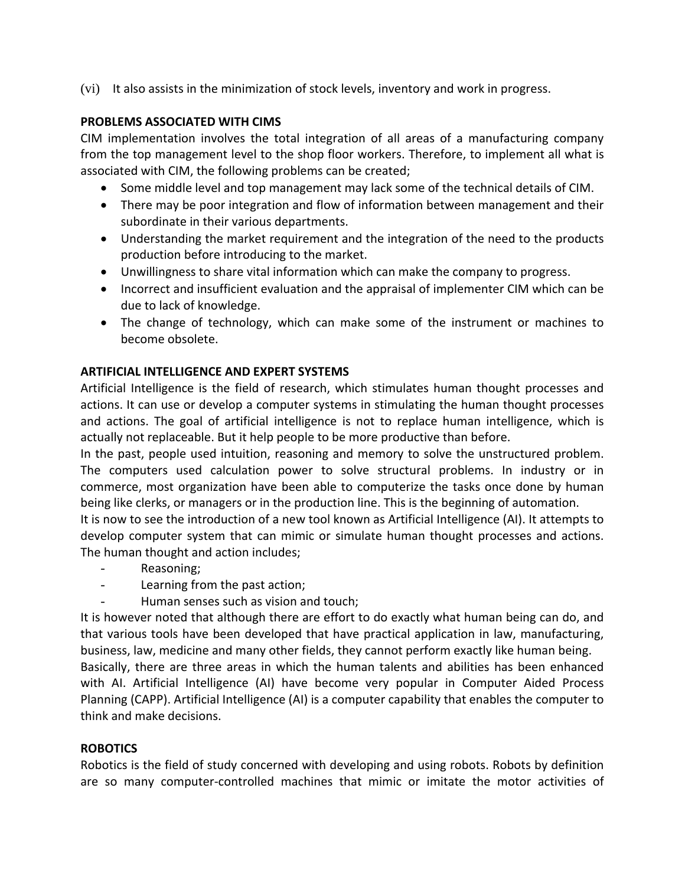(vi) It also assists in the minimization of stock levels, inventory and work in progress.

### **PROBLEMS ASSOCIATED WITH CIMS**

CIM implementation involves the total integration of all areas of a manufacturing company from the top management level to the shop floor workers. Therefore, to implement all what is associated with CIM, the following problems can be created;

- Some middle level and top management may lack some of the technical details of CIM.
- There may be poor integration and flow of information between management and their subordinate in their various departments.
- Understanding the market requirement and the integration of the need to the products production before introducing to the market.
- Unwillingness to share vital information which can make the company to progress.
- Incorrect and insufficient evaluation and the appraisal of implementer CIM which can be due to lack of knowledge.
- The change of technology, which can make some of the instrument or machines to become obsolete.

# **ARTIFICIAL INTELLIGENCE AND EXPERT SYSTEMS**

Artificial Intelligence is the field of research, which stimulates human thought processes and actions. It can use or develop a computer systems in stimulating the human thought processes and actions. The goal of artificial intelligence is not to replace human intelligence, which is actually not replaceable. But it help people to be more productive than before.

In the past, people used intuition, reasoning and memory to solve the unstructured problem. The computers used calculation power to solve structural problems. In industry or in commerce, most organization have been able to computerize the tasks once done by human being like clerks, or managers or in the production line. This is the beginning of automation.

It is now to see the introduction of a new tool known as Artificial Intelligence (AI). It attempts to develop computer system that can mimic or simulate human thought processes and actions. The human thought and action includes;

- Reasoning;
- Learning from the past action;
- Human senses such as vision and touch;

It is however noted that although there are effort to do exactly what human being can do, and that various tools have been developed that have practical application in law, manufacturing, business, law, medicine and many other fields, they cannot perform exactly like human being.

Basically, there are three areas in which the human talents and abilities has been enhanced with AI. Artificial Intelligence (AI) have become very popular in Computer Aided Process Planning (CAPP). Artificial Intelligence (AI) is a computer capability that enables the computer to think and make decisions.

# **ROBOTICS**

Robotics is the field of study concerned with developing and using robots. Robots by definition are so many computer-controlled machines that mimic or imitate the motor activities of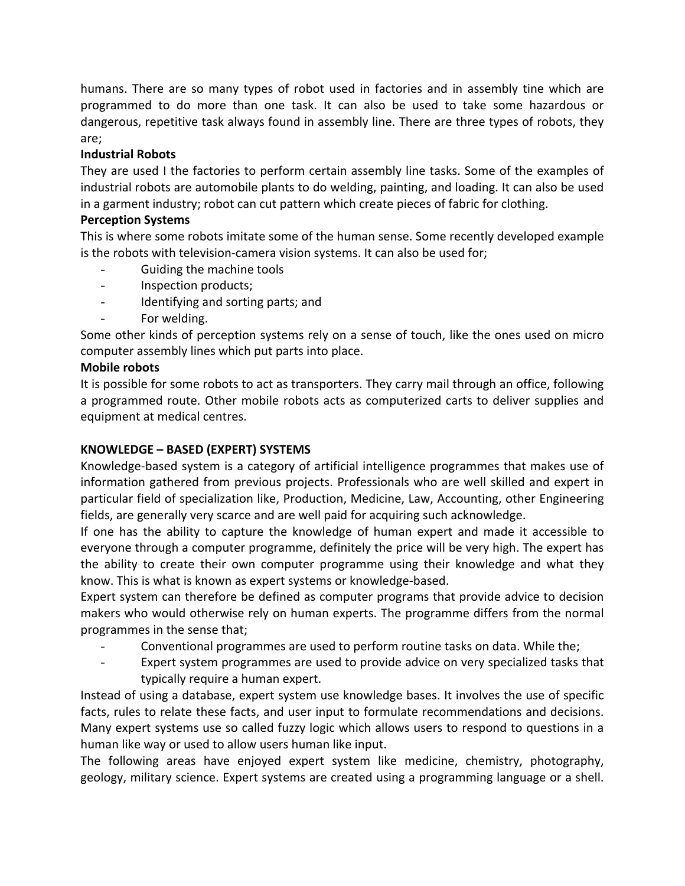humans. There are so many types of robot used in factories and in assembly tine which are programmed to do more than one task. It can also be used to take some hazardous or dangerous, repetitive task always found in assembly line. There are three types of robots, they are;

# **Industrial Robots**

They are used I the factories to perform certain assembly line tasks. Some of the examples of industrial robots are automobile plants to do welding, painting, and loading. It can also be used in a garment industry; robot can cut pattern which create pieces of fabric for clothing.

# **Perception Systems**

This is where some robots imitate some of the human sense. Some recently developed example is the robots with television-camera vision systems. It can also be used for;

- Guiding the machine tools
- Inspection products;
- Identifying and sorting parts; and
- For welding.

Some other kinds of perception systems rely on a sense of touch, like the ones used on micro computer assembly lines which put parts into place.

### **Mobile robots**

It is possible for some robots to act as transporters. They carry mail through an office, following a programmed route. Other mobile robots acts as computerized carts to deliver supplies and equipment at medical centres.

# **KNOWLEDGE – BASED (EXPERT) SYSTEMS**

Knowledge-based system is a category of artificial intelligence programmes that makes use of information gathered from previous projects. Professionals who are well skilled and expert in particular field of specialization like, Production, Medicine, Law, Accounting, other Engineering fields, are generally very scarce and are well paid for acquiring such acknowledge.

If one has the ability to capture the knowledge of human expert and made it accessible to everyone through a computer programme, definitely the price will be very high. The expert has the ability to create their own computer programme using their knowledge and what they know. This is what is known as expert systems or knowledge-based.

Expert system can therefore be defined as computer programs that provide advice to decision makers who would otherwise rely on human experts. The programme differs from the normal programmes in the sense that;

- Conventional programmes are used to perform routine tasks on data. While the;
- Expert system programmes are used to provide advice on very specialized tasks that typically require a human expert.

Instead of using a database, expert system use knowledge bases. It involves the use of specific facts, rules to relate these facts, and user input to formulate recommendations and decisions. Many expert systems use so called fuzzy logic which allows users to respond to questions in a human like way or used to allow users human like input.

The following areas have enjoyed expert system like medicine, chemistry, photography, geology, military science. Expert systems are created using a programming language or a shell.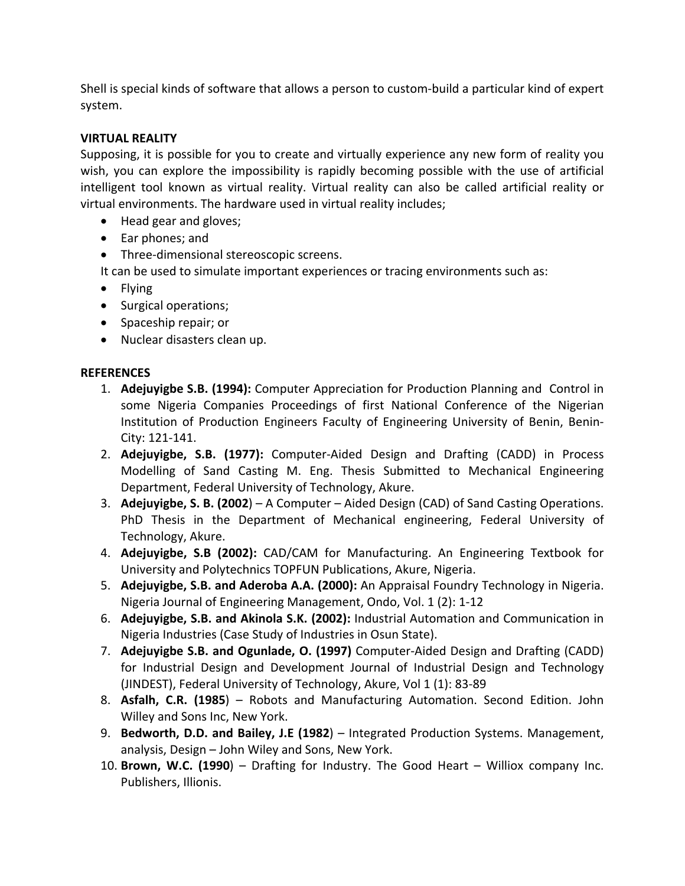Shell is special kinds of software that allows a person to custom-build a particular kind of expert system.

# **VIRTUAL REALITY**

Supposing, it is possible for you to create and virtually experience any new form of reality you wish, you can explore the impossibility is rapidly becoming possible with the use of artificial intelligent tool known as virtual reality. Virtual reality can also be called artificial reality or virtual environments. The hardware used in virtual reality includes;

- Head gear and gloves;
- Ear phones; and
- Three-dimensional stereoscopic screens.

It can be used to simulate important experiences or tracing environments such as:

- Flying
- Surgical operations;
- Spaceship repair; or
- Nuclear disasters clean up.

# **REFERENCES**

- 1. **Adejuyigbe S.B. (1994):** Computer Appreciation for Production Planning and Control in some Nigeria Companies Proceedings of first National Conference of the Nigerian Institution of Production Engineers Faculty of Engineering University of Benin, Benin-City: 121-141.
- 2. **Adejuyigbe, S.B. (1977):** Computer-Aided Design and Drafting (CADD) in Process Modelling of Sand Casting M. Eng. Thesis Submitted to Mechanical Engineering Department, Federal University of Technology, Akure.
- 3. **Adejuyigbe, S. B. (2002**) A Computer Aided Design (CAD) of Sand Casting Operations. PhD Thesis in the Department of Mechanical engineering, Federal University of Technology, Akure.
- 4. **Adejuyigbe, S.B (2002):** CAD/CAM for Manufacturing. An Engineering Textbook for University and Polytechnics TOPFUN Publications, Akure, Nigeria.
- 5. **Adejuyigbe, S.B. and Aderoba A.A. (2000):** An Appraisal Foundry Technology in Nigeria. Nigeria Journal of Engineering Management, Ondo, Vol. 1 (2): 1-12
- 6. **Adejuyigbe, S.B. and Akinola S.K. (2002):** Industrial Automation and Communication in Nigeria Industries (Case Study of Industries in Osun State).
- 7. **Adejuyigbe S.B. and Ogunlade, O. (1997)** Computer-Aided Design and Drafting (CADD) for Industrial Design and Development Journal of Industrial Design and Technology (JINDEST), Federal University of Technology, Akure, Vol 1 (1): 83-89
- 8. **Asfalh, C.R. (1985**) Robots and Manufacturing Automation. Second Edition. John Willey and Sons Inc, New York.
- 9. **Bedworth, D.D. and Bailey, J.E (1982**) Integrated Production Systems. Management, analysis, Design – John Wiley and Sons, New York.
- 10. **Brown, W.C. (1990**) Drafting for Industry. The Good Heart Williox company Inc. Publishers, Illionis.